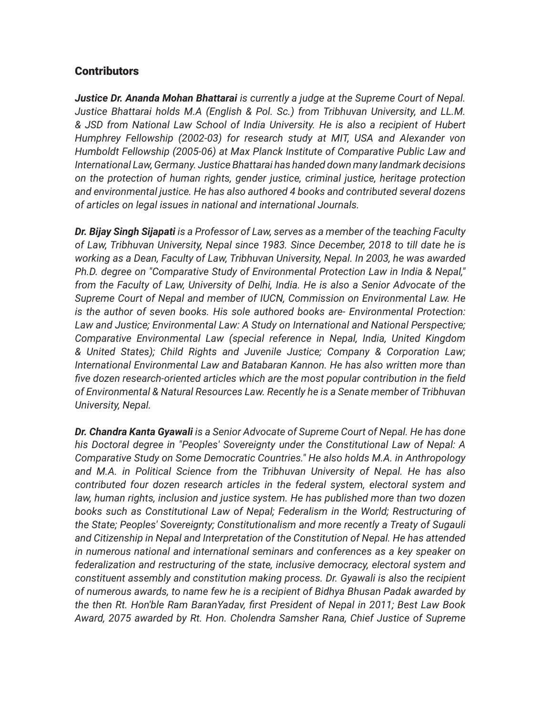### **Contributors**

*Justice Dr. Ananda Mohan Bhattarai is currently a judge at the Supreme Court of Nepal. Justice Bhattarai holds M.A (English & Pol. Sc.) from Tribhuvan University, and LL.M. & JSD from National Law School of India University. He is also a recipient of Hubert Humphrey Fellowship (2002-03) for research study at MIT, USA and Alexander von Humboldt Fellowship (2005-06) at Max Planck Institute of Comparative Public Law and International Law, Germany. Justice Bhattarai has handed down many landmark decisions on the protection of human rights, gender justice, criminal justice, heritage protection and environmental justice. He has also authored 4 books and contributed several dozens of articles on legal issues in national and international Journals.*

*Dr. Bijay Singh Sijapati is a Professor of Law, serves as a member of the teaching Faculty of Law, Tribhuvan University, Nepal since 1983. Since December, 2018 to till date he is working as a Dean, Faculty of Law, Tribhuvan University, Nepal. In 2003, he was awarded Ph.D. degree on "Comparative Study of Environmental Protection Law in India & Nepal," from the Faculty of Law, University of Delhi, India. He is also a Senior Advocate of the Supreme Court of Nepal and member of IUCN, Commission on Environmental Law. He is the author of seven books. His sole authored books are- Environmental Protection: Law and Justice; Environmental Law: A Study on International and National Perspective; Comparative Environmental Law (special reference in Nepal, India, United Kingdom & United States); Child Rights and Juvenile Justice; Company & Corporation Law; International Environmental Law and Batabaran Kannon. He has also written more than five dozen research-oriented articles which are the most popular contribution in the field of Environmental & Natural Resources Law. Recently he is a Senate member of Tribhuvan University, Nepal.*

*Dr. Chandra Kanta Gyawali is a Senior Advocate of Supreme Court of Nepal. He has done his Doctoral degree in "Peoples' Sovereignty under the Constitutional Law of Nepal: A Comparative Study on Some Democratic Countries." He also holds M.A. in Anthropology and M.A. in Political Science from the Tribhuvan University of Nepal. He has also contributed four dozen research articles in the federal system, electoral system and law, human rights, inclusion and justice system. He has published more than two dozen books such as Constitutional Law of Nepal; Federalism in the World; Restructuring of the State; Peoples' Sovereignty; Constitutionalism and more recently a Treaty of Sugauli and Citizenship in Nepal and Interpretation of the Constitution of Nepal. He has attended in numerous national and international seminars and conferences as a key speaker on federalization and restructuring of the state, inclusive democracy, electoral system and constituent assembly and constitution making process. Dr. Gyawali is also the recipient of numerous awards, to name few he is a recipient of Bidhya Bhusan Padak awarded by the then Rt. Hon'ble Ram BaranYadav, first President of Nepal in 2011; Best Law Book Award, 2075 awarded by Rt. Hon. Cholendra Samsher Rana, Chief Justice of Supreme*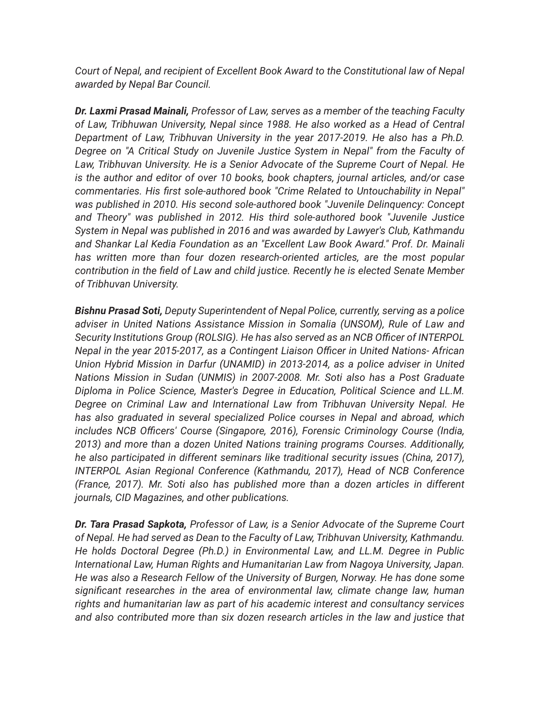*Court of Nepal, and recipient of Excellent Book Award to the Constitutional law of Nepal awarded by Nepal Bar Council.*

*Dr. Laxmi Prasad Mainali, Professor of Law, serves as a member of the teaching Faculty of Law, Tribhuwan University, Nepal since 1988. He also worked as a Head of Central Department of Law, Tribhuvan University in the year 2017-2019. He also has a Ph.D. Degree on "A Critical Study on Juvenile Justice System in Nepal" from the Faculty of Law, Tribhuvan University. He is a Senior Advocate of the Supreme Court of Nepal. He is the author and editor of over 10 books, book chapters, journal articles, and/or case commentaries. His first sole-authored book "Crime Related to Untouchability in Nepal" was published in 2010. His second sole-authored book "Juvenile Delinquency: Concept and Theory" was published in 2012. His third sole-authored book "Juvenile Justice System in Nepal was published in 2016 and was awarded by Lawyer's Club, Kathmandu and Shankar Lal Kedia Foundation as an "Excellent Law Book Award." Prof. Dr. Mainali has written more than four dozen research-oriented articles, are the most popular contribution in the field of Law and child justice. Recently he is elected Senate Member of Tribhuvan University.*

*Bishnu Prasad Soti, Deputy Superintendent of Nepal Police, currently, serving as a police adviser in United Nations Assistance Mission in Somalia (UNSOM), Rule of Law and Security Institutions Group (ROLSIG). He has also served as an NCB Officer of INTERPOL Nepal in the year 2015-2017, as a Contingent Liaison Officer in United Nations- African Union Hybrid Mission in Darfur (UNAMID) in 2013-2014, as a police adviser in United Nations Mission in Sudan (UNMIS) in 2007-2008. Mr. Soti also has a Post Graduate Diploma in Police Science, Master's Degree in Education, Political Science and LL.M. Degree on Criminal Law and International Law from Tribhuvan University Nepal. He has also graduated in several specialized Police courses in Nepal and abroad, which includes NCB Officers' Course (Singapore, 2016), Forensic Criminology Course (India, 2013) and more than a dozen United Nations training programs Courses. Additionally, he also participated in different seminars like traditional security issues (China, 2017), INTERPOL Asian Regional Conference (Kathmandu, 2017), Head of NCB Conference (France, 2017). Mr. Soti also has published more than a dozen articles in different journals, CID Magazines, and other publications.*

*Dr. Tara Prasad Sapkota, Professor of Law, is a Senior Advocate of the Supreme Court of Nepal. He had served as Dean to the Faculty of Law, Tribhuvan University, Kathmandu. He holds Doctoral Degree (Ph.D.) in Environmental Law, and LL.M. Degree in Public International Law, Human Rights and Humanitarian Law from Nagoya University, Japan. He was also a Research Fellow of the University of Burgen, Norway. He has done some significant researches in the area of environmental law, climate change law, human rights and humanitarian law as part of his academic interest and consultancy services and also contributed more than six dozen research articles in the law and justice that*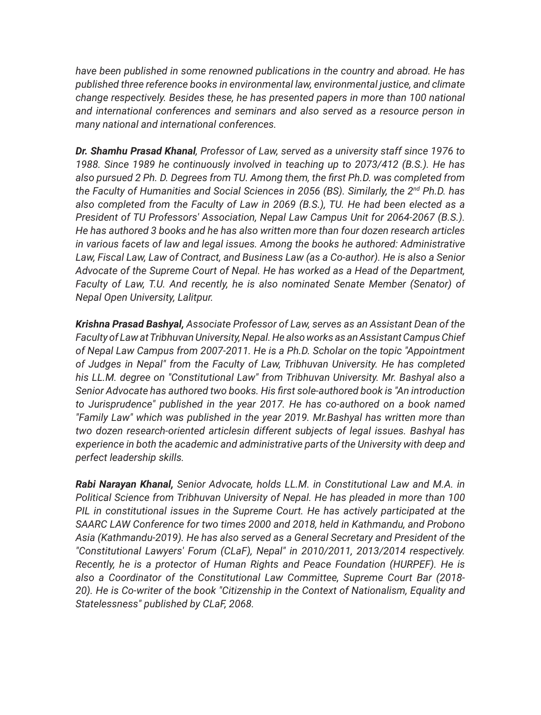*have been published in some renowned publications in the country and abroad. He has published three reference books in environmental law, environmental justice, and climate change respectively. Besides these, he has presented papers in more than 100 national and international conferences and seminars and also served as a resource person in many national and international conferences.*

*Dr. Shamhu Prasad Khanal, Professor of Law, served as a university staff since 1976 to 1988. Since 1989 he continuously involved in teaching up to 2073/412 (B.S.). He has also pursued 2 Ph. D. Degrees from TU. Among them, the first Ph.D. was completed from the Faculty of Humanities and Social Sciences in 2056 (BS). Similarly, the 2nd Ph.D. has also completed from the Faculty of Law in 2069 (B.S.), TU. He had been elected as a President of TU Professors' Association, Nepal Law Campus Unit for 2064-2067 (B.S.). He has authored 3 books and he has also written more than four dozen research articles in various facets of law and legal issues. Among the books he authored: Administrative Law, Fiscal Law, Law of Contract, and Business Law (as a Co-author). He is also a Senior Advocate of the Supreme Court of Nepal. He has worked as a Head of the Department, Faculty of Law, T.U. And recently, he is also nominated Senate Member (Senator) of Nepal Open University, Lalitpur.* 

*Krishna Prasad Bashyal, Associate Professor of Law, serves as an Assistant Dean of the Faculty of Law at Tribhuvan University, Nepal. He also works as an Assistant Campus Chief of Nepal Law Campus from 2007-2011. He is a Ph.D. Scholar on the topic "Appointment of Judges in Nepal" from the Faculty of Law, Tribhuvan University. He has completed his LL.M. degree on "Constitutional Law" from Tribhuvan University. Mr. Bashyal also a Senior Advocate has authored two books. His first sole-authored book is "An introduction to Jurisprudence" published in the year 2017. He has co-authored on a book named "Family Law" which was published in the year 2019. Mr.Bashyal has written more than two dozen research-oriented articlesin different subjects of legal issues. Bashyal has experience in both the academic and administrative parts of the University with deep and perfect leadership skills.* 

*Rabi Narayan Khanal, Senior Advocate, holds LL.M. in Constitutional Law and M.A. in Political Science from Tribhuvan University of Nepal. He has pleaded in more than 100 PIL in constitutional issues in the Supreme Court. He has actively participated at the SAARC LAW Conference for two times 2000 and 2018, held in Kathmandu, and Probono Asia (Kathmandu-2019). He has also served as a General Secretary and President of the "Constitutional Lawyers' Forum (CLaF), Nepal" in 2010/2011, 2013/2014 respectively. Recently, he is a protector of Human Rights and Peace Foundation (HURPEF). He is also a Coordinator of the Constitutional Law Committee, Supreme Court Bar (2018- 20). He is Co-writer of the book "Citizenship in the Context of Nationalism, Equality and Statelessness" published by CLaF, 2068.*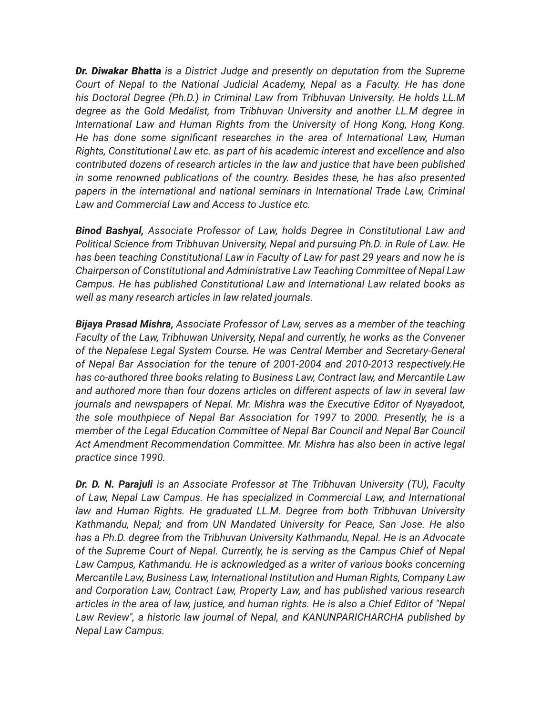*Dr. Diwakar Bhatta is a District Judge and presently on deputation from the Supreme Court of Nepal to the National Judicial Academy, Nepal as a Faculty. He has done his Doctoral Degree (Ph.D.) in Criminal Law from Tribhuvan University. He holds LL.M degree as the Gold Medalist, from Tribhuvan University and another LL.M degree in International Law and Human Rights from the University of Hong Kong, Hong Kong. He has done some significant researches in the area of International Law, Human Rights, Constitutional Law etc. as part of his academic interest and excellence and also contributed dozens of research articles in the law and justice that have been published in some renowned publications of the country. Besides these, he has also presented papers in the international and national seminars in International Trade Law, Criminal Law and Commercial Law and Access to Justice etc.*

*Binod Bashyal, Associate Professor of Law, holds Degree in Constitutional Law and Political Science from Tribhuvan University, Nepal and pursuing Ph.D. in Rule of Law. He has been teaching Constitutional Law in Faculty of Law for past 29 years and now he is Chairperson of Constitutional and Administrative Law Teaching Committee of Nepal Law Campus. He has published Constitutional Law and International Law related books as well as many research articles in law related journals.* 

*Bijaya Prasad Mishra, Associate Professor of Law, serves as a member of the teaching Faculty of the Law, Tribhuwan University, Nepal and currently, he works as the Convener of the Nepalese Legal System Course. He was Central Member and Secretary-General of Nepal Bar Association for the tenure of 2001-2004 and 2010-2013 respectively.He has co-authored three books relating to Business Law, Contract law, and Mercantile Law and authored more than four dozens articles on different aspects of law in several law journals and newspapers of Nepal. Mr. Mishra was the Executive Editor of Nyayadoot, the sole mouthpiece of Nepal Bar Association for 1997 to 2000. Presently, he is a member of the Legal Education Committee of Nepal Bar Council and Nepal Bar Council Act Amendment Recommendation Committee. Mr. Mishra has also been in active legal practice since 1990.* 

*Dr. D. N. Parajuli is an Associate Professor at The Tribhuvan University (TU), Faculty of Law, Nepal Law Campus. He has specialized in Commercial Law, and International*  law and Human Rights. He graduated LL.M. Degree from both Tribhuvan University *Kathmandu, Nepal; and from UN Mandated University for Peace, San Jose. He also has a Ph.D. degree from the Tribhuvan University Kathmandu, Nepal. He is an Advocate of the Supreme Court of Nepal. Currently, he is serving as the Campus Chief of Nepal Law Campus, Kathmandu. He is acknowledged as a writer of various books concerning Mercantile Law, Business Law, International Institution and Human Rights, Company Law and Corporation Law, Contract Law, Property Law, and has published various research articles in the area of law, justice, and human rights. He is also a Chief Editor of "Nepal Law Review", a historic law journal of Nepal, and KANUNPARICHARCHA published by Nepal Law Campus.*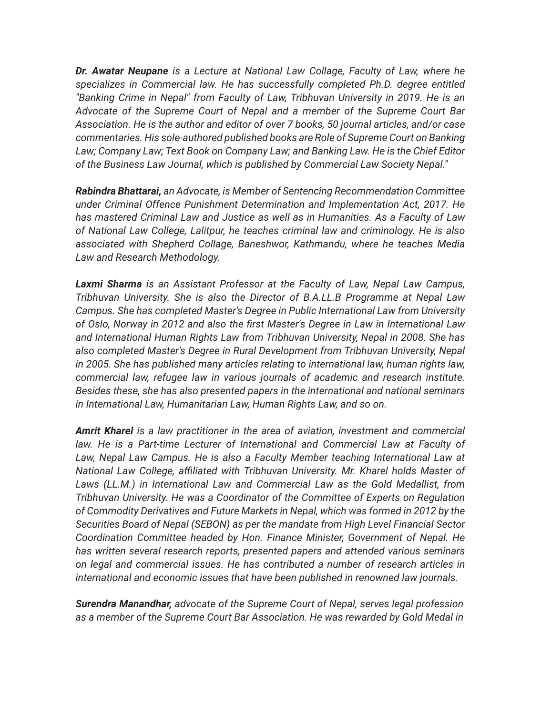*Dr. Awatar Neupane is a Lecture at National Law Collage, Faculty of Law, where he specializes in Commercial law. He has successfully completed Ph.D. degree entitled "Banking Crime in Nepal" from Faculty of Law, Tribhuvan University in 2019. He is an Advocate of the Supreme Court of Nepal and a member of the Supreme Court Bar Association. He is the author and editor of over 7 books, 50 journal articles, and/or case commentaries. His sole-authored published books are Role of Supreme Court on Banking Law; Company Law; Text Book on Company Law; and Banking Law. He is the Chief Editor of the Business Law Journal, which is published by Commercial Law Society Nepal."*

*Rabindra Bhattarai, an Advocate, is Member of Sentencing Recommendation Committee under Criminal Offence Punishment Determination and Implementation Act, 2017. He has mastered Criminal Law and Justice as well as in Humanities. As a Faculty of Law of National Law College, Lalitpur, he teaches criminal law and criminology. He is also associated with Shepherd Collage, Baneshwor, Kathmandu, where he teaches Media Law and Research Methodology.*

*Laxmi Sharma is an Assistant Professor at the Faculty of Law, Nepal Law Campus, Tribhuvan University. She is also the Director of B.A.LL.B Programme at Nepal Law Campus. She has completed Master's Degree in Public International Law from University of Oslo, Norway in 2012 and also the first Master's Degree in Law in International Law and International Human Rights Law from Tribhuvan University, Nepal in 2008. She has also completed Master's Degree in Rural Development from Tribhuvan University, Nepal in 2005. She has published many articles relating to international law, human rights law, commercial law, refugee law in various journals of academic and research institute. Besides these, she has also presented papers in the international and national seminars in International Law, Humanitarian Law, Human Rights Law, and so on.*

*Amrit Kharel is a law practitioner in the area of aviation, investment and commercial*  law. He is a Part-time Lecturer of International and Commercial Law at Faculty of Law, Nepal Law Campus. He is also a Faculty Member teaching International Law at *National Law College, affiliated with Tribhuvan University. Mr. Kharel holds Master of Laws (LL.M.) in International Law and Commercial Law as the Gold Medallist, from Tribhuvan University. He was a Coordinator of the Committee of Experts on Regulation of Commodity Derivatives and Future Markets in Nepal, which was formed in 2012 by the Securities Board of Nepal (SEBON) as per the mandate from High Level Financial Sector Coordination Committee headed by Hon. Finance Minister, Government of Nepal. He has written several research reports, presented papers and attended various seminars on legal and commercial issues. He has contributed a number of research articles in international and economic issues that have been published in renowned law journals.*

*Surendra Manandhar, advocate of the Supreme Court of Nepal, serves legal profession as a member of the Supreme Court Bar Association. He was rewarded by Gold Medal in*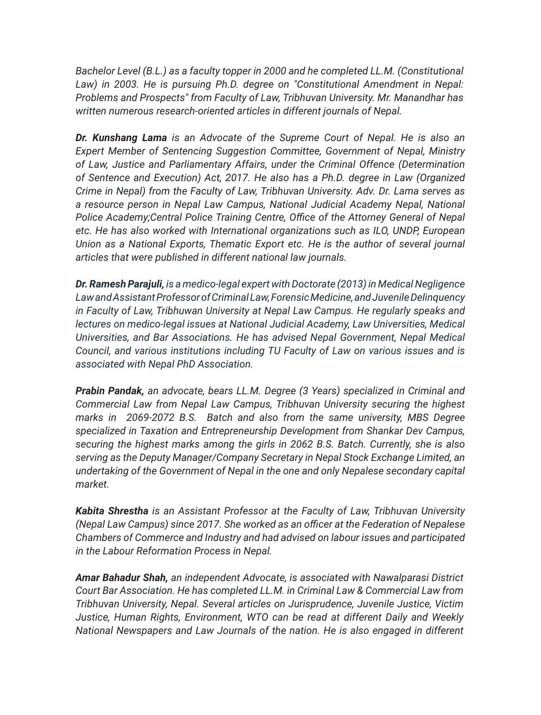Bachelor Level (B.L.) as a faculty topper in 2000 and he completed LL.M. (Constitutional Law) in 2003. He is pursuing Ph.D. degree on "Constitutional Amendment in Nepal: *Problems and Prospects" from Faculty of Law, Tribhuvan University. Mr. Manandhar has written numerous research-oriented articles in different journals of Nepal.*

*Dr. Kunshang Lama is an Advocate of the Supreme Court of Nepal. He is also an Expert Member of Sentencing Suggestion Committee, Government of Nepal, Ministry of Law, Justice and Parliamentary Affairs, under the Criminal Offence (Determination of Sentence and Execution) Act, 2017. He also has a Ph.D. degree in Law (Organized Crime in Nepal) from the Faculty of Law, Tribhuvan University. Adv. Dr. Lama serves as a resource person in Nepal Law Campus, National Judicial Academy Nepal, National Police Academy;Central Police Training Centre, Office of the Attorney General of Nepal etc. He has also worked with International organizations such as ILO, UNDP, European Union as a National Exports, Thematic Export etc. He is the author of several journal articles that were published in different national law journals.*

*Dr. Ramesh Parajuli, is a medico-legal expert with Doctorate (2013) in Medical Negligence Law and Assistant Professor of Criminal Law, Forensic Medicine, and Juvenile Delinquency in Faculty of Law, Tribhuwan University at Nepal Law Campus. He regularly speaks and lectures on medico-legal issues at National Judicial Academy, Law Universities, Medical Universities, and Bar Associations. He has advised Nepal Government, Nepal Medical Council, and various institutions including TU Faculty of Law on various issues and is associated with Nepal PhD Association.*

*Prabin Pandak, an advocate, bears LL.M. Degree (3 Years) specialized in Criminal and Commercial Law from Nepal Law Campus, Tribhuvan University securing the highest marks in 2069-2072 B.S. Batch and also from the same university, MBS Degree specialized in Taxation and Entrepreneurship Development from Shankar Dev Campus, securing the highest marks among the girls in 2062 B.S. Batch. Currently, she is also serving as the Deputy Manager/Company Secretary in Nepal Stock Exchange Limited, an undertaking of the Government of Nepal in the one and only Nepalese secondary capital market.*

*Kabita Shrestha is an Assistant Professor at the Faculty of Law, Tribhuvan University (Nepal Law Campus) since 2017. She worked as an officer at the Federation of Nepalese Chambers of Commerce and Industry and had advised on labour issues and participated in the Labour Reformation Process in Nepal.* 

*Amar Bahadur Shah, an independent Advocate, is associated with Nawalparasi District Court Bar Association. He has completed LL.M. in Criminal Law & Commercial Law from Tribhuvan University, Nepal. Several articles on Jurisprudence, Juvenile Justice, Victim Justice, Human Rights, Environment, WTO can be read at different Daily and Weekly National Newspapers and Law Journals of the nation. He is also engaged in different*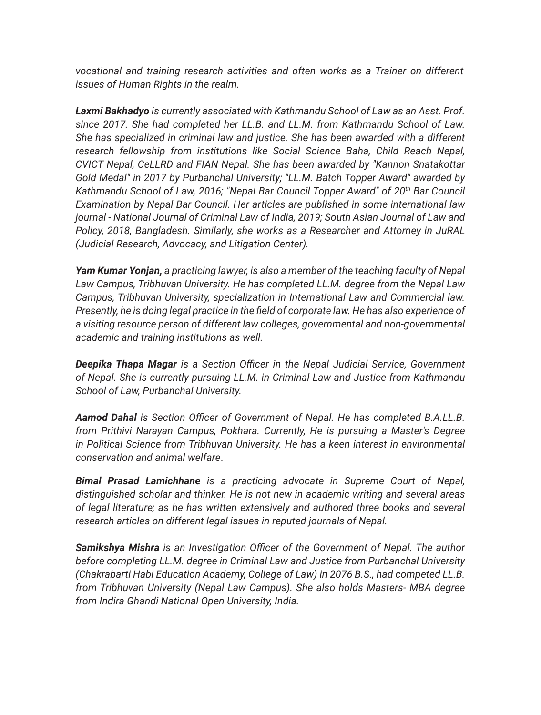*vocational and training research activities and often works as a Trainer on different issues of Human Rights in the realm.*

*Laxmi Bakhadyo is currently associated with Kathmandu School of Law as an Asst. Prof. since 2017. She had completed her LL.B. and LL.M. from Kathmandu School of Law. She has specialized in criminal law and justice. She has been awarded with a different research fellowship from institutions like Social Science Baha, Child Reach Nepal, CVICT Nepal, CeLLRD and FIAN Nepal. She has been awarded by "Kannon Snatakottar Gold Medal" in 2017 by Purbanchal University; "LL.M. Batch Topper Award" awarded by*  Kathmandu School of Law, 2016; "Nepal Bar Council Topper Award" of 20<sup>th</sup> Bar Council *Examination by Nepal Bar Council. Her articles are published in some international law journal - National Journal of Criminal Law of India, 2019; South Asian Journal of Law and Policy, 2018, Bangladesh. Similarly, she works as a Researcher and Attorney in JuRAL (Judicial Research, Advocacy, and Litigation Center).*

*Yam Kumar Yonjan, a practicing lawyer, is also a member of the teaching faculty of Nepal Law Campus, Tribhuvan University. He has completed LL.M. degree from the Nepal Law Campus, Tribhuvan University, specialization in International Law and Commercial law. Presently, he is doing legal practice in the field of corporate law. He has also experience of a visiting resource person of different law colleges, governmental and non-governmental academic and training institutions as well.*

*Deepika Thapa Magar is a Section Officer in the Nepal Judicial Service, Government of Nepal. She is currently pursuing LL.M. in Criminal Law and Justice from Kathmandu School of Law, Purbanchal University.* 

*Aamod Dahal is Section Officer of Government of Nepal. He has completed B.A.LL.B. from Prithivi Narayan Campus, Pokhara. Currently, He is pursuing a Master's Degree in Political Science from Tribhuvan University. He has a keen interest in environmental conservation and animal welfare*.

*Bimal Prasad Lamichhane is a practicing advocate in Supreme Court of Nepal, distinguished scholar and thinker. He is not new in academic writing and several areas of legal literature; as he has written extensively and authored three books and several research articles on different legal issues in reputed journals of Nepal.*

*Samikshya Mishra is an Investigation Officer of the Government of Nepal. The author before completing LL.M. degree in Criminal Law and Justice from Purbanchal University (Chakrabarti Habi Education Academy, College of Law) in 2076 B.S., had competed LL.B. from Tribhuvan University (Nepal Law Campus). She also holds Masters- MBA degree from Indira Ghandi National Open University, India.*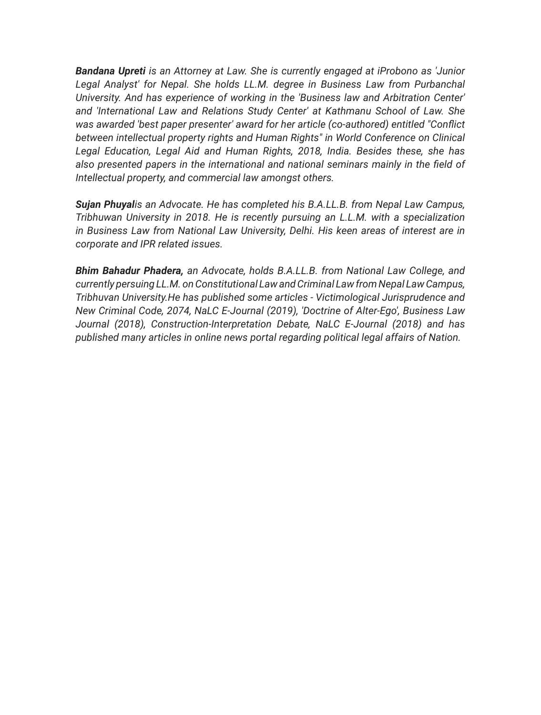*Bandana Upreti is an Attorney at Law. She is currently engaged at iProbono as 'Junior*  Legal Analyst' for Nepal. She holds LL.M. degree in Business Law from Purbanchal *University. And has experience of working in the 'Business law and Arbitration Center' and 'International Law and Relations Study Center' at Kathmanu School of Law. She was awarded 'best paper presenter' award for her article (co-authored) entitled "Conflict between intellectual property rights and Human Rights" in World Conference on Clinical Legal Education, Legal Aid and Human Rights, 2018, India. Besides these, she has also presented papers in the international and national seminars mainly in the field of Intellectual property, and commercial law amongst others.*

*Sujan Phuyalis an Advocate. He has completed his B.A.LL.B. from Nepal Law Campus, Tribhuwan University in 2018. He is recently pursuing an L.L.M. with a specialization in Business Law from National Law University, Delhi. His keen areas of interest are in corporate and IPR related issues.*

*Bhim Bahadur Phadera, an Advocate, holds B.A.LL.B. from National Law College, and currently persuing LL.M. on Constitutional Law and Criminal Law from Nepal Law Campus, Tribhuvan University.He has published some articles - Victimological Jurisprudence and New Criminal Code, 2074, NaLC E-Journal (2019), 'Doctrine of Alter-Ego', Business Law Journal (2018), Construction-Interpretation Debate, NaLC E-Journal (2018) and has published many articles in online news portal regarding political legal affairs of Nation.*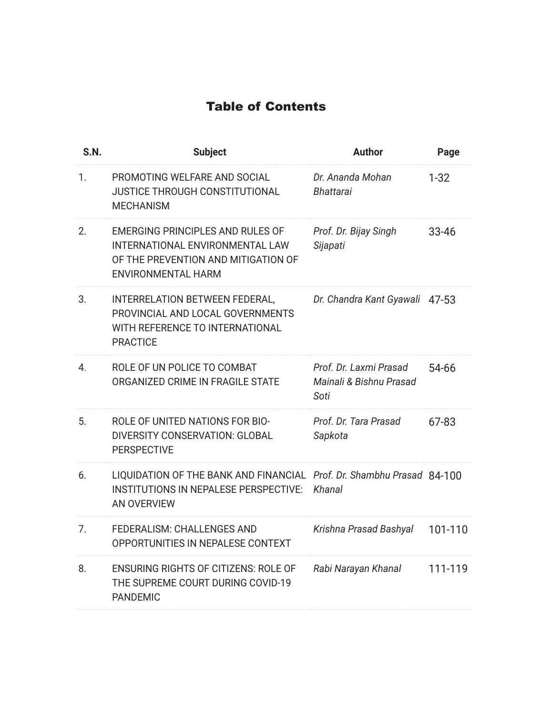### Table of Contents

| S.N. | <b>Subject</b>                                                                                                                          | <b>Author</b>                                             | Page     |
|------|-----------------------------------------------------------------------------------------------------------------------------------------|-----------------------------------------------------------|----------|
| 1.   | PROMOTING WELFARE AND SOCIAL<br>JUSTICE THROUGH CONSTITUTIONAL<br><b>MECHANISM</b>                                                      | Dr. Ananda Mohan<br><b>Bhattarai</b>                      | $1 - 32$ |
| 2.   | EMERGING PRINCIPLES AND RULES OF<br>INTERNATIONAL ENVIRONMENTAL LAW<br>OF THE PREVENTION AND MITIGATION OF<br><b>ENVIRONMENTAL HARM</b> | Prof. Dr. Bijay Singh<br>Sijapati                         | 33-46    |
| 3.   | INTERRELATION BETWEEN FEDERAL,<br>PROVINCIAL AND LOCAL GOVERNMENTS<br>WITH REFERENCE TO INTERNATIONAL<br><b>PRACTICE</b>                | Dr. Chandra Kant Gyawali 47-53                            |          |
| 4.   | ROLE OF UN POLICE TO COMBAT<br>ORGANIZED CRIME IN FRAGILE STATE                                                                         | Prof. Dr. Laxmi Prasad<br>Mainali & Bishnu Prasad<br>Soti | 54-66    |
| 5.   | ROLE OF UNITED NATIONS FOR BIO-<br>DIVERSITY CONSERVATION: GLOBAL<br><b>PERSPECTIVE</b>                                                 | Prof. Dr. Tara Prasad<br>Sapkota                          | 67-83    |
| 6.   | LIQUIDATION OF THE BANK AND FINANCIAL Prof. Dr. Shambhu Prasad 84-100<br><b>INSTITUTIONS IN NEPALESE PERSPECTIVE:</b><br>AN OVERVIEW    | Khanal                                                    |          |
| 7.   | FEDERALISM: CHALLENGES AND<br>OPPORTUNITIES IN NEPALESE CONTEXT                                                                         | Krishna Prasad Bashyal                                    | 101-110  |
| 8.   | <b>ENSURING RIGHTS OF CITIZENS: ROLE OF</b><br>THE SUPREME COURT DURING COVID-19<br><b>PANDEMIC</b>                                     | Rabi Narayan Khanal                                       | 111-119  |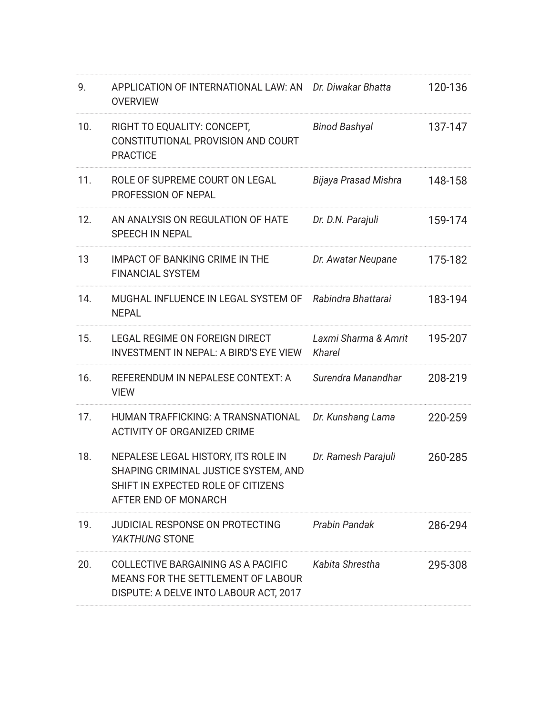| 9.  | APPLICATION OF INTERNATIONAL LAW: AN Dr. Diwakar Bhatta<br><b>OVERVIEW</b>                                                                |                                | 120-136 |
|-----|-------------------------------------------------------------------------------------------------------------------------------------------|--------------------------------|---------|
| 10. | RIGHT TO EQUALITY: CONCEPT,<br>CONSTITUTIONAL PROVISION AND COURT<br><b>PRACTICE</b>                                                      | <b>Binod Bashyal</b>           | 137-147 |
| 11. | ROLE OF SUPREME COURT ON LEGAL<br>PROFESSION OF NEPAL                                                                                     | Bijaya Prasad Mishra           | 148-158 |
| 12. | AN ANALYSIS ON REGULATION OF HATE<br>SPEECH IN NEPAL                                                                                      | Dr. D.N. Parajuli              | 159-174 |
| 13  | <b>IMPACT OF BANKING CRIME IN THE</b><br><b>FINANCIAL SYSTEM</b>                                                                          | Dr. Awatar Neupane             | 175-182 |
| 14. | MUGHAL INFLUENCE IN LEGAL SYSTEM OF Rabindra Bhattarai<br><b>NEPAL</b>                                                                    |                                | 183-194 |
| 15. | LEGAL REGIME ON FOREIGN DIRECT<br>INVESTMENT IN NEPAL: A BIRD'S EYE VIEW                                                                  | Laxmi Sharma & Amrit<br>Kharel | 195-207 |
| 16. | REFERENDUM IN NEPALESE CONTEXT: A<br><b>VIEW</b>                                                                                          | Surendra Manandhar             | 208-219 |
| 17. | HUMAN TRAFFICKING: A TRANSNATIONAL<br><b>ACTIVITY OF ORGANIZED CRIME</b>                                                                  | Dr. Kunshang Lama              | 220-259 |
| 18. | NEPALESE LEGAL HISTORY, ITS ROLE IN<br>SHAPING CRIMINAL JUSTICE SYSTEM, AND<br>SHIFT IN EXPECTED ROLE OF CITIZENS<br>AFTER END OF MONARCH | Dr. Ramesh Parajuli            | 260-285 |
| 19. | <b>JUDICIAL RESPONSE ON PROTECTING</b><br><i>YAKTHUNG</i> STONE                                                                           | Prabin Pandak                  | 286-294 |
| 20. | COLLECTIVE BARGAINING AS A PACIFIC<br>MEANS FOR THE SETTLEMENT OF LABOUR<br>DISPUTE: A DELVE INTO LABOUR ACT, 2017                        | Kabita Shrestha                | 295-308 |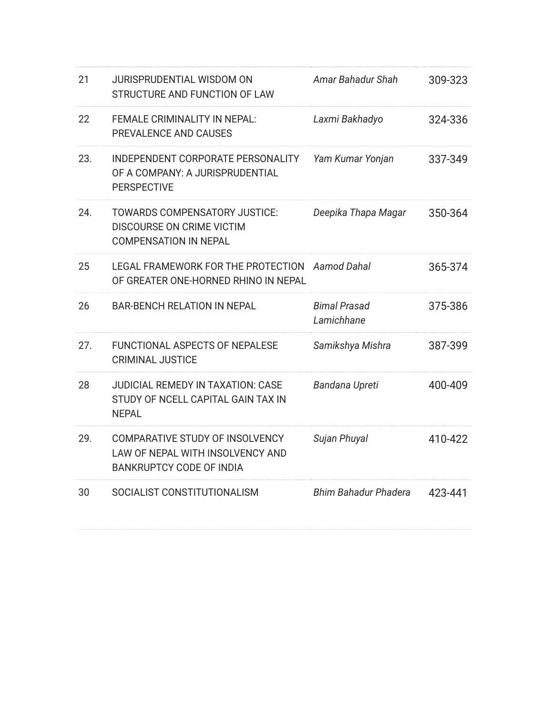| 21  | JURISPRUDENTIAL WISDOM ON<br>STRUCTURE AND FUNCTION OF LAW                                             | Amar Bahadur Shah                 | 309-323 |
|-----|--------------------------------------------------------------------------------------------------------|-----------------------------------|---------|
| 22  | FEMALE CRIMINALITY IN NEPAL:<br>PREVALENCE AND CAUSES                                                  | Laxmi Bakhadyo                    | 324-336 |
| 23. | INDEPENDENT CORPORATE PERSONALITY<br>OF A COMPANY: A JURISPRUDENTIAL<br><b>PERSPECTIVE</b>             | Yam Kumar Yonjan                  | 337-349 |
| 24. | TOWARDS COMPENSATORY JUSTICE:<br>DISCOURSE ON CRIME VICTIM<br><b>COMPENSATION IN NEPAL</b>             | Deepika Thapa Magar               | 350-364 |
| 25  | LEGAL FRAMEWORK FOR THE PROTECTION<br>OF GREATER ONE-HORNED RHINO IN NEPAL                             | Aamod Dahal                       | 365-374 |
| 26  | <b>BAR-BENCH RELATION IN NEPAL</b>                                                                     | <b>Bimal Prasad</b><br>Lamichhane | 375-386 |
| 27. | FUNCTIONAL ASPECTS OF NEPALESE<br><b>CRIMINAL JUSTICE</b>                                              | Samikshya Mishra                  | 387-399 |
| 28  | <b>JUDICIAL REMEDY IN TAXATION: CASE</b><br>STUDY OF NCELL CAPITAL GAIN TAX IN<br><b>NEPAL</b>         | Bandana Upreti                    | 400-409 |
| 29. | COMPARATIVE STUDY OF INSOLVENCY<br>LAW OF NEPAL WITH INSOLVENCY AND<br><b>BANKRUPTCY CODE OF INDIA</b> | Sujan Phuyal                      | 410-422 |
| 30  | SOCIALIST CONSTITUTIONALISM                                                                            | <b>Bhim Bahadur Phadera</b>       | 423-441 |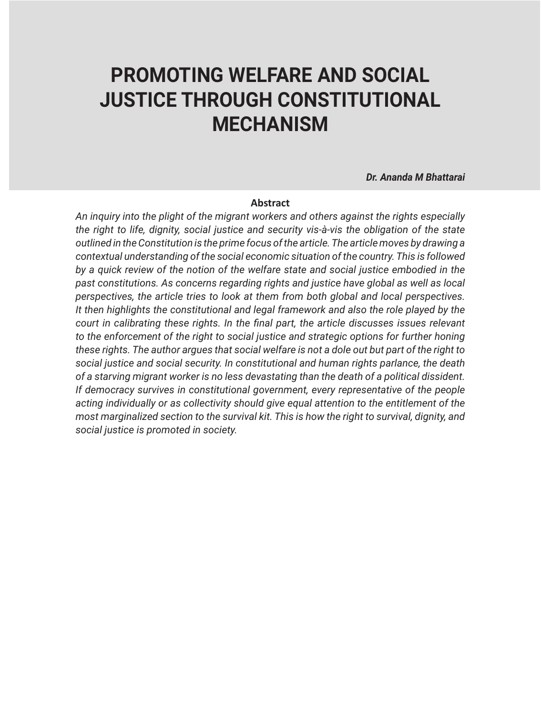# **PROMOTING WELFARE AND SOCIAL JUSTICE THROUGH CONSTITUTIONAL MECHANISM**

*Dr. Ananda M Bhattarai*

#### **Abstract**

*An inquiry into the plight of the migrant workers and others against the rights especially the right to life, dignity, social justice and security vis-à-vis the obligation of the state outlined in the Constitution is the prime focus of the article. The article moves by drawing a contextual understanding of the social economic situation of the country. This is followed by a quick review of the notion of the welfare state and social justice embodied in the past constitutions. As concerns regarding rights and justice have global as well as local perspectives, the article tries to look at them from both global and local perspectives. It then highlights the constitutional and legal framework and also the role played by the court in calibrating these rights. In the final part, the article discusses issues relevant*  to the enforcement of the right to social justice and strategic options for further honing *these rights. The author argues that social welfare is not a dole out but part of the right to social justice and social security. In constitutional and human rights parlance, the death of a starving migrant worker is no less devastating than the death of a political dissident. If democracy survives in constitutional government, every representative of the people acting individually or as collectivity should give equal attention to the entitlement of the most marginalized section to the survival kit. This is how the right to survival, dignity, and social justice is promoted in society.*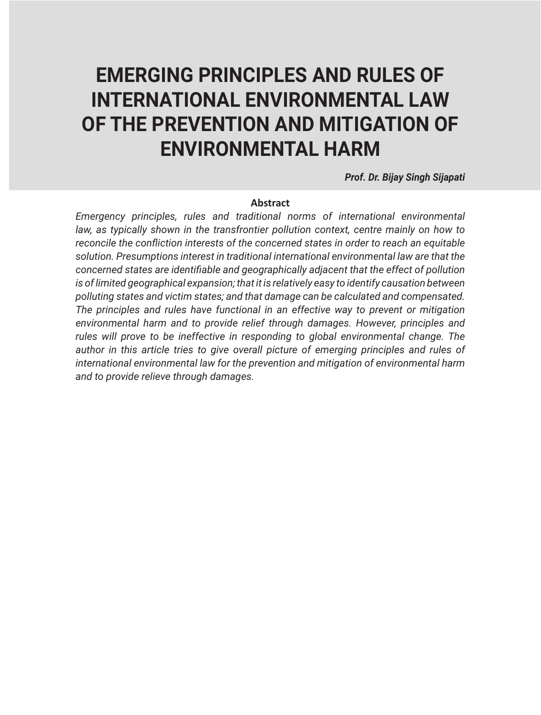# **EMERGING PRINCIPLES AND RULES OF INTERNATIONAL ENVIRONMENTAL LAW OF THE PREVENTION AND MITIGATION OF ENVIRONMENTAL HARM**

*Prof. Dr. Bijay Singh Sijapati*

#### **Abstract**

*Emergency principles, rules and traditional norms of international environmental*  law, as typically shown in the transfrontier pollution context, centre mainly on how to *reconcile the confliction interests of the concerned states in order to reach an equitable solution. Presumptions interest in traditional international environmental law are that the concerned states are identifiable and geographically adjacent that the effect of pollution*  is of limited geographical expansion; that it is relatively easy to identify causation between *polluting states and victim states; and that damage can be calculated and compensated. The principles and rules have functional in an effective way to prevent or mitigation environmental harm and to provide relief through damages. However, principles and rules will prove to be ineffective in responding to global environmental change. The author in this article tries to give overall picture of emerging principles and rules of international environmental law for the prevention and mitigation of environmental harm and to provide relieve through damages.*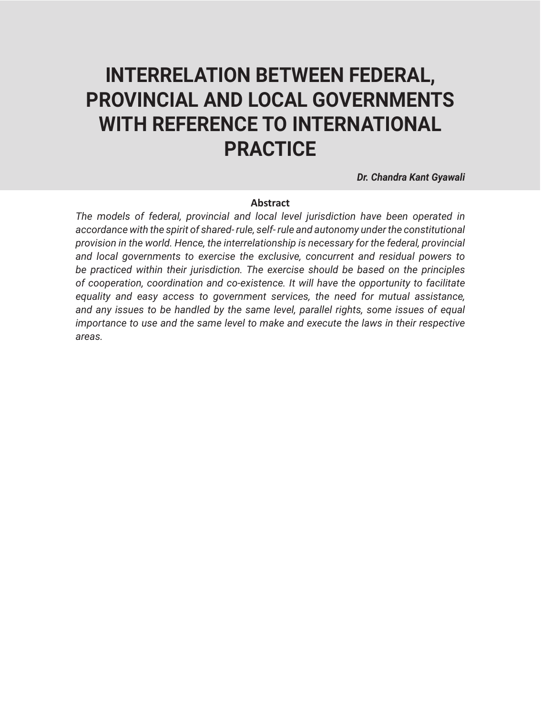# **INTERRELATION BETWEEN FEDERAL, PROVINCIAL AND LOCAL GOVERNMENTS WITH REFERENCE TO INTERNATIONAL PRACTICE**

*Dr. Chandra Kant Gyawali*

#### **Abstract**

*The models of federal, provincial and local level jurisdiction have been operated in accordance with the spirit of shared- rule, self- rule and autonomy under the constitutional provision in the world. Hence, the interrelationship is necessary for the federal, provincial and local governments to exercise the exclusive, concurrent and residual powers to be practiced within their jurisdiction. The exercise should be based on the principles of cooperation, coordination and co-existence. It will have the opportunity to facilitate equality and easy access to government services, the need for mutual assistance, and any issues to be handled by the same level, parallel rights, some issues of equal importance to use and the same level to make and execute the laws in their respective areas.*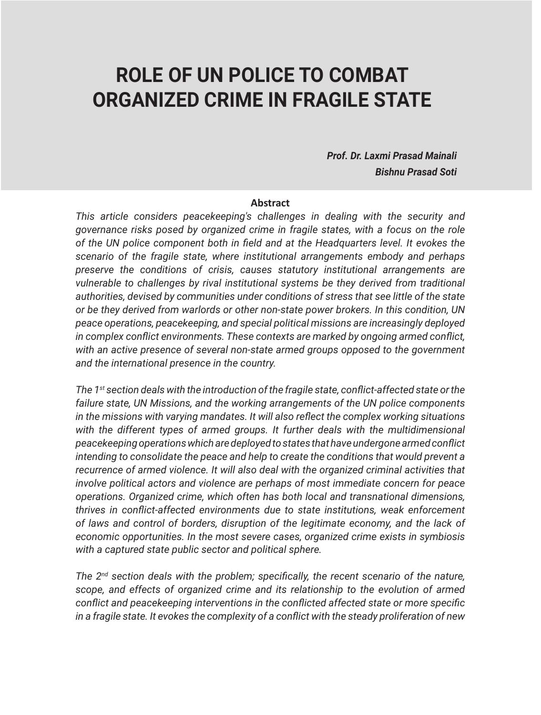## **ROLE OF UN POLICE TO COMBAT ORGANIZED CRIME IN FRAGILE STATE**

*Prof. Dr. Laxmi Prasad Mainali Bishnu Prasad Soti*

#### **Abstract**

*This article considers peacekeeping's challenges in dealing with the security and governance risks posed by organized crime in fragile states, with a focus on the role of the UN police component both in field and at the Headquarters level. It evokes the scenario of the fragile state, where institutional arrangements embody and perhaps preserve the conditions of crisis, causes statutory institutional arrangements are vulnerable to challenges by rival institutional systems be they derived from traditional authorities, devised by communities under conditions of stress that see little of the state or be they derived from warlords or other non-state power brokers. In this condition, UN peace operations, peacekeeping, and special political missions are increasingly deployed in complex conflict environments. These contexts are marked by ongoing armed conflict, with an active presence of several non-state armed groups opposed to the government and the international presence in the country.*

*The 1st section deals with the introduction of the fragile state, conflict-affected state or the failure state, UN Missions, and the working arrangements of the UN police components in the missions with varying mandates. It will also reflect the complex working situations*  with the different types of armed groups. It further deals with the multidimensional *peacekeeping operations which are deployed to states that have undergone armed conflict intending to consolidate the peace and help to create the conditions that would prevent a recurrence of armed violence. It will also deal with the organized criminal activities that involve political actors and violence are perhaps of most immediate concern for peace operations. Organized crime, which often has both local and transnational dimensions, thrives in conflict-affected environments due to state institutions, weak enforcement of laws and control of borders, disruption of the legitimate economy, and the lack of economic opportunities. In the most severe cases, organized crime exists in symbiosis with a captured state public sector and political sphere.* 

*The 2nd section deals with the problem; specifically, the recent scenario of the nature, scope, and effects of organized crime and its relationship to the evolution of armed conflict and peacekeeping interventions in the conflicted affected state or more specific in a fragile state. It evokes the complexity of a conflict with the steady proliferation of new*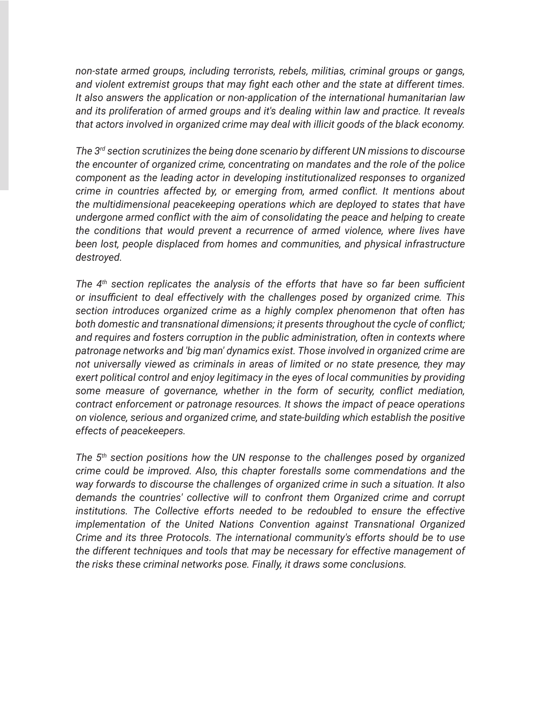*non-state armed groups, including terrorists, rebels, militias, criminal groups or gangs, and violent extremist groups that may fight each other and the state at different times. It also answers the application or non-application of the international humanitarian law and its proliferation of armed groups and it's dealing within law and practice. It reveals that actors involved in organized crime may deal with illicit goods of the black economy.*

*The 3rd section scrutinizes the being done scenario by different UN missions to discourse the encounter of organized crime, concentrating on mandates and the role of the police component as the leading actor in developing institutionalized responses to organized crime in countries affected by, or emerging from, armed conflict. It mentions about the multidimensional peacekeeping operations which are deployed to states that have undergone armed conflict with the aim of consolidating the peace and helping to create the conditions that would prevent a recurrence of armed violence, where lives have been lost, people displaced from homes and communities, and physical infrastructure destroyed.* 

*The 4th section replicates the analysis of the efforts that have so far been sufficient or insufficient to deal effectively with the challenges posed by organized crime. This section introduces organized crime as a highly complex phenomenon that often has both domestic and transnational dimensions; it presents throughout the cycle of conflict; and requires and fosters corruption in the public administration, often in contexts where patronage networks and 'big man' dynamics exist. Those involved in organized crime are not universally viewed as criminals in areas of limited or no state presence, they may exert political control and enjoy legitimacy in the eyes of local communities by providing some measure of governance, whether in the form of security, conflict mediation, contract enforcement or patronage resources. It shows the impact of peace operations on violence, serious and organized crime, and state-building which establish the positive effects of peacekeepers.*

*The 5th section positions how the UN response to the challenges posed by organized crime could be improved. Also, this chapter forestalls some commendations and the way forwards to discourse the challenges of organized crime in such a situation. It also demands the countries' collective will to confront them Organized crime and corrupt institutions. The Collective efforts needed to be redoubled to ensure the effective implementation of the United Nations Convention against Transnational Organized Crime and its three Protocols. The international community's efforts should be to use the different techniques and tools that may be necessary for effective management of the risks these criminal networks pose. Finally, it draws some conclusions.*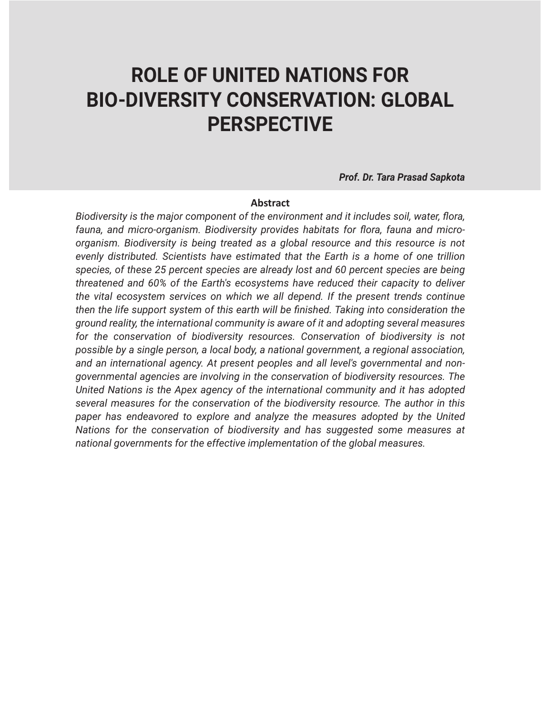## **ROLE OF UNITED NATIONS FOR BIO-DIVERSITY CONSERVATION: GLOBAL PERSPECTIVE**

*Prof. Dr. Tara Prasad Sapkota*

#### **Abstract**

*Biodiversity is the major component of the environment and it includes soil, water, flora, fauna, and micro-organism. Biodiversity provides habitats for flora, fauna and microorganism. Biodiversity is being treated as a global resource and this resource is not evenly distributed. Scientists have estimated that the Earth is a home of one trillion species, of these 25 percent species are already lost and 60 percent species are being threatened and 60% of the Earth's ecosystems have reduced their capacity to deliver the vital ecosystem services on which we all depend. If the present trends continue then the life support system of this earth will be finished. Taking into consideration the ground reality, the international community is aware of it and adopting several measures*  for the conservation of biodiversity resources. Conservation of biodiversity is not *possible by a single person, a local body, a national government, a regional association, and an international agency. At present peoples and all level's governmental and nongovernmental agencies are involving in the conservation of biodiversity resources. The United Nations is the Apex agency of the international community and it has adopted several measures for the conservation of the biodiversity resource. The author in this*  paper has endeavored to explore and analyze the measures adopted by the United *Nations for the conservation of biodiversity and has suggested some measures at national governments for the effective implementation of the global measures.*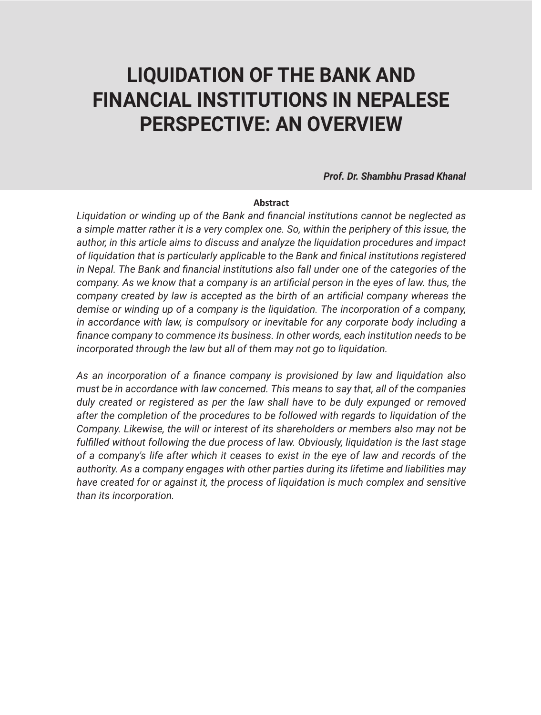# **LIQUIDATION OF THE BANK AND FINANCIAL INSTITUTIONS IN NEPALESE PERSPECTIVE: AN OVERVIEW**

*Prof. Dr. Shambhu Prasad Khanal*

#### **Abstract**

*Liquidation or winding up of the Bank and financial institutions cannot be neglected as a simple matter rather it is a very complex one. So, within the periphery of this issue, the author, in this article aims to discuss and analyze the liquidation procedures and impact of liquidation that is particularly applicable to the Bank and finical institutions registered in Nepal. The Bank and financial institutions also fall under one of the categories of the company. As we know that a company is an artificial person in the eyes of law. thus, the company created by law is accepted as the birth of an artificial company whereas the demise or winding up of a company is the liquidation. The incorporation of a company, in accordance with law, is compulsory or inevitable for any corporate body including a finance company to commence its business. In other words, each institution needs to be incorporated through the law but all of them may not go to liquidation.* 

*As an incorporation of a finance company is provisioned by law and liquidation also must be in accordance with law concerned. This means to say that, all of the companies duly created or registered as per the law shall have to be duly expunged or removed after the completion of the procedures to be followed with regards to liquidation of the Company. Likewise, the will or interest of its shareholders or members also may not be fulfilled without following the due process of law. Obviously, liquidation is the last stage of a company's life after which it ceases to exist in the eye of law and records of the authority. As a company engages with other parties during its lifetime and liabilities may have created for or against it, the process of liquidation is much complex and sensitive than its incorporation.*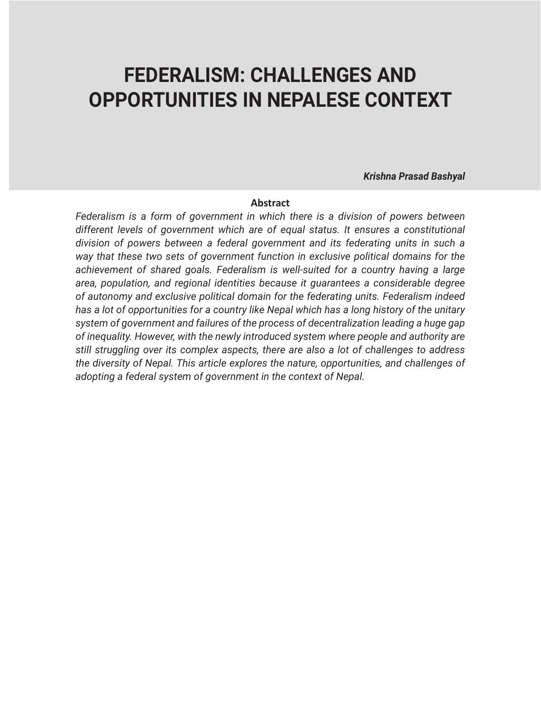### **FEDERALISM: CHALLENGES AND OPPORTUNITIES IN NEPALESE CONTEXT**

*Krishna Prasad Bashyal*

#### **Abstract**

*Federalism is a form of government in which there is a division of powers between different levels of government which are of equal status. It ensures a constitutional division of powers between a federal government and its federating units in such a way that these two sets of government function in exclusive political domains for the achievement of shared goals. Federalism is well-suited for a country having a large area, population, and regional identities because it guarantees a considerable degree of autonomy and exclusive political domain for the federating units. Federalism indeed has a lot of opportunities for a country like Nepal which has a long history of the unitary system of government and failures of the process of decentralization leading a huge gap of inequality. However, with the newly introduced system where people and authority are still struggling over its complex aspects, there are also a lot of challenges to address the diversity of Nepal. This article explores the nature, opportunities, and challenges of adopting a federal system of government in the context of Nepal.*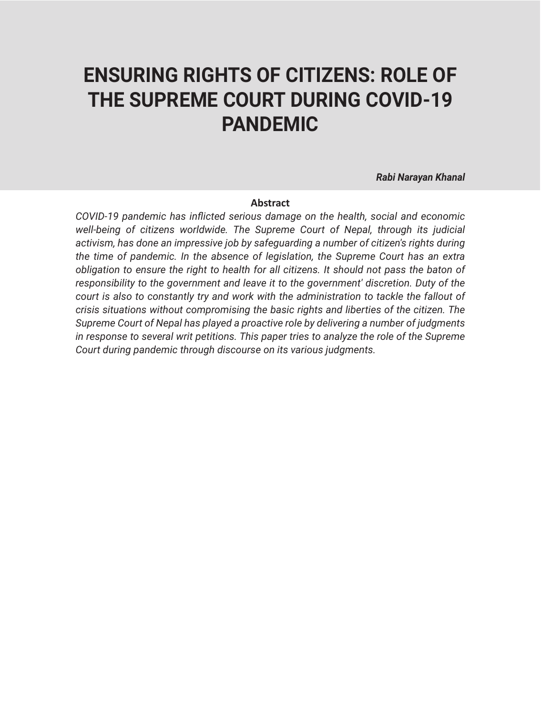# **ENSURING RIGHTS OF CITIZENS: ROLE OF THE SUPREME COURT DURING COVID-19 PANDEMIC**

*Rabi Narayan Khanal*

#### **Abstract**

*COVID-19 pandemic has inflicted serious damage on the health, social and economic*  well-being of citizens worldwide. The Supreme Court of Nepal, through its judicial *activism, has done an impressive job by safeguarding a number of citizen's rights during the time of pandemic. In the absence of legislation, the Supreme Court has an extra obligation to ensure the right to health for all citizens. It should not pass the baton of responsibility to the government and leave it to the government' discretion. Duty of the court is also to constantly try and work with the administration to tackle the fallout of crisis situations without compromising the basic rights and liberties of the citizen. The Supreme Court of Nepal has played a proactive role by delivering a number of judgments in response to several writ petitions. This paper tries to analyze the role of the Supreme Court during pandemic through discourse on its various judgments.*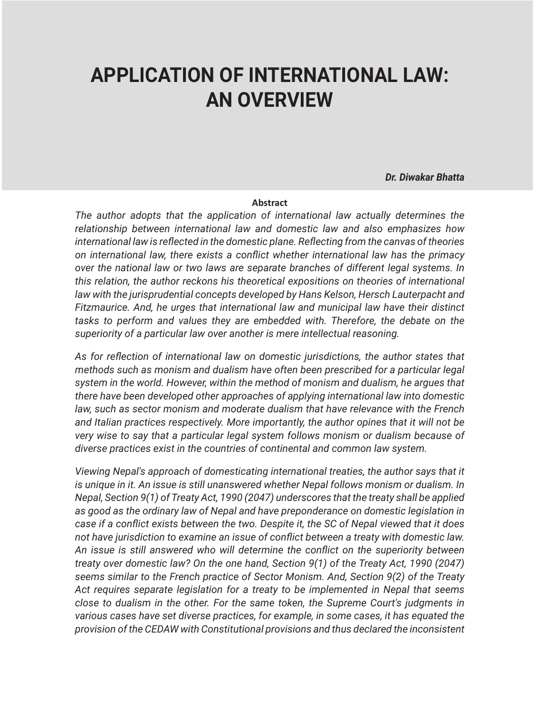## **APPLICATION OF INTERNATIONAL LAW: AN OVERVIEW**

*Dr. Diwakar Bhatta*

#### **Abstract**

*The author adopts that the application of international law actually determines the relationship between international law and domestic law and also emphasizes how international law is reflected in the domestic plane. Reflecting from the canvas of theories on international law, there exists a conflict whether international law has the primacy over the national law or two laws are separate branches of different legal systems. In this relation, the author reckons his theoretical expositions on theories of international*  law with the jurisprudential concepts developed by Hans Kelson, Hersch Lauterpacht and *Fitzmaurice. And, he urges that international law and municipal law have their distinct tasks to perform and values they are embedded with. Therefore, the debate on the superiority of a particular law over another is mere intellectual reasoning.*

*As for reflection of international law on domestic jurisdictions, the author states that methods such as monism and dualism have often been prescribed for a particular legal system in the world. However, within the method of monism and dualism, he argues that there have been developed other approaches of applying international law into domestic law, such as sector monism and moderate dualism that have relevance with the French and Italian practices respectively. More importantly, the author opines that it will not be very wise to say that a particular legal system follows monism or dualism because of diverse practices exist in the countries of continental and common law system.*

*Viewing Nepal's approach of domesticating international treaties, the author says that it is unique in it. An issue is still unanswered whether Nepal follows monism or dualism. In Nepal, Section 9(1) of Treaty Act, 1990 (2047) underscores that the treaty shall be applied as good as the ordinary law of Nepal and have preponderance on domestic legislation in case if a conflict exists between the two. Despite it, the SC of Nepal viewed that it does not have jurisdiction to examine an issue of conflict between a treaty with domestic law. An issue is still answered who will determine the conflict on the superiority between treaty over domestic law? On the one hand, Section 9(1) of the Treaty Act, 1990 (2047) seems similar to the French practice of Sector Monism. And, Section 9(2) of the Treaty Act requires separate legislation for a treaty to be implemented in Nepal that seems close to dualism in the other. For the same token, the Supreme Court's judgments in various cases have set diverse practices, for example, in some cases, it has equated the provision of the CEDAW with Constitutional provisions and thus declared the inconsistent*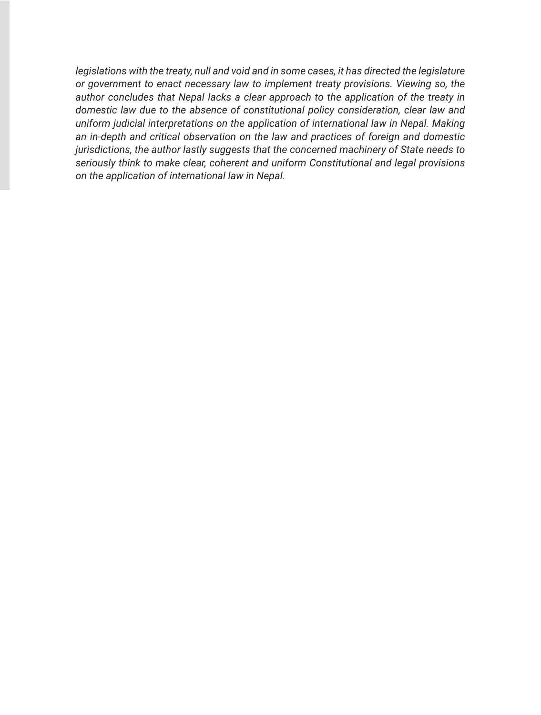*legislations with the treaty, null and void and in some cases, it has directed the legislature or government to enact necessary law to implement treaty provisions. Viewing so, the author concludes that Nepal lacks a clear approach to the application of the treaty in domestic law due to the absence of constitutional policy consideration, clear law and uniform judicial interpretations on the application of international law in Nepal. Making an in-depth and critical observation on the law and practices of foreign and domestic jurisdictions, the author lastly suggests that the concerned machinery of State needs to seriously think to make clear, coherent and uniform Constitutional and legal provisions on the application of international law in Nepal.*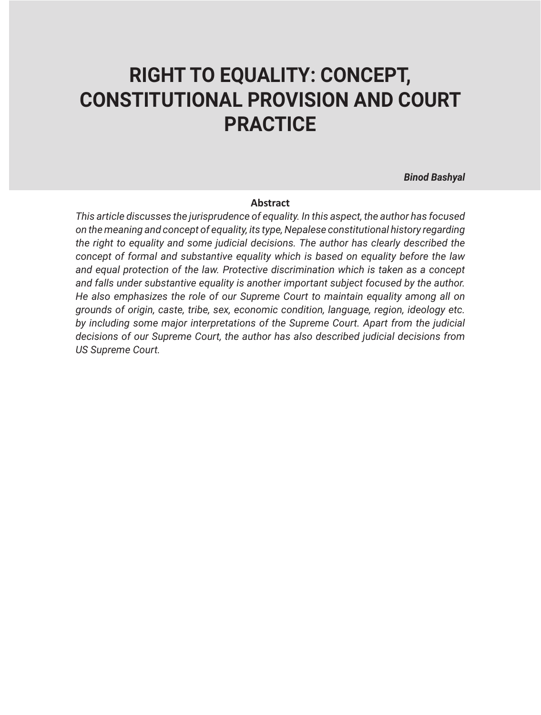# **RIGHT TO EQUALITY: CONCEPT, CONSTITUTIONAL PROVISION AND COURT PRACTICE**

*Binod Bashyal*

#### **Abstract**

*This article discusses the jurisprudence of equality. In this aspect, the author has focused on the meaning and concept of equality, its type, Nepalese constitutional history regarding the right to equality and some judicial decisions. The author has clearly described the concept of formal and substantive equality which is based on equality before the law and equal protection of the law. Protective discrimination which is taken as a concept and falls under substantive equality is another important subject focused by the author. He also emphasizes the role of our Supreme Court to maintain equality among all on grounds of origin, caste, tribe, sex, economic condition, language, region, ideology etc. by including some major interpretations of the Supreme Court. Apart from the judicial decisions of our Supreme Court, the author has also described judicial decisions from US Supreme Court.*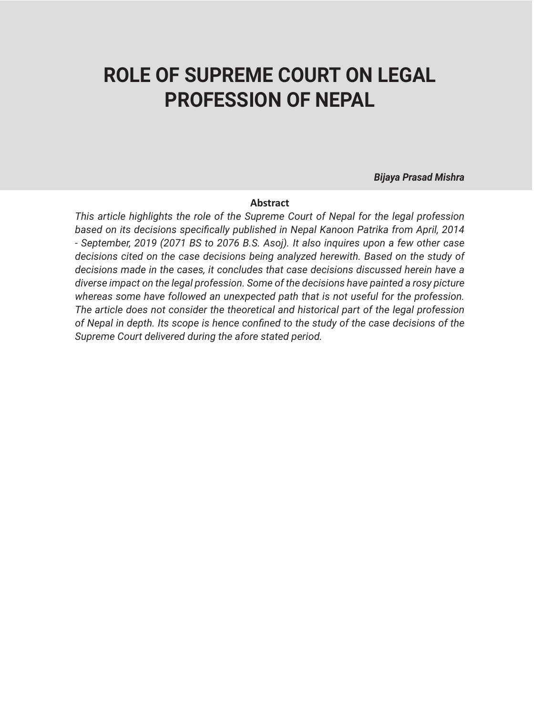### **ROLE OF SUPREME COURT ON LEGAL PROFESSION OF NEPAL**

*Bijaya Prasad Mishra*

#### **Abstract**

*This article highlights the role of the Supreme Court of Nepal for the legal profession based on its decisions specifically published in Nepal Kanoon Patrika from April, 2014 - September, 2019 (2071 BS to 2076 B.S. Asoj). It also inquires upon a few other case decisions cited on the case decisions being analyzed herewith. Based on the study of decisions made in the cases, it concludes that case decisions discussed herein have a diverse impact on the legal profession. Some of the decisions have painted a rosy picture whereas some have followed an unexpected path that is not useful for the profession. The article does not consider the theoretical and historical part of the legal profession of Nepal in depth. Its scope is hence confined to the study of the case decisions of the Supreme Court delivered during the afore stated period.*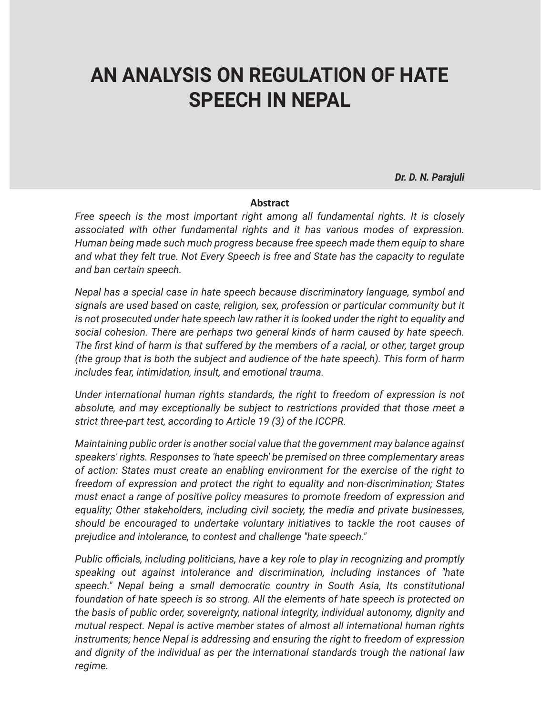## **AN ANALYSIS ON REGULATION OF HATE SPEECH IN NEPAL**

*Dr. D. N. Parajuli*

#### **Abstract**

*Free speech is the most important right among all fundamental rights. It is closely associated with other fundamental rights and it has various modes of expression. Human being made such much progress because free speech made them equip to share and what they felt true. Not Every Speech is free and State has the capacity to regulate and ban certain speech.*

*Nepal has a special case in hate speech because discriminatory language, symbol and signals are used based on caste, religion, sex, profession or particular community but it is not prosecuted under hate speech law rather it is looked under the right to equality and social cohesion. There are perhaps two general kinds of harm caused by hate speech. The first kind of harm is that suffered by the members of a racial, or other, target group (the group that is both the subject and audience of the hate speech). This form of harm includes fear, intimidation, insult, and emotional trauma.*

*Under international human rights standards, the right to freedom of expression is not absolute, and may exceptionally be subject to restrictions provided that those meet a strict three-part test, according to Article 19 (3) of the ICCPR.*

*Maintaining public order is another social value that the government may balance against speakers' rights. Responses to 'hate speech' be premised on three complementary areas of action: States must create an enabling environment for the exercise of the right to freedom of expression and protect the right to equality and non-discrimination; States must enact a range of positive policy measures to promote freedom of expression and equality; Other stakeholders, including civil society, the media and private businesses, should be encouraged to undertake voluntary initiatives to tackle the root causes of prejudice and intolerance, to contest and challenge "hate speech."*

*Public officials, including politicians, have a key role to play in recognizing and promptly speaking out against intolerance and discrimination, including instances of "hate speech." Nepal being a small democratic country in South Asia, Its constitutional foundation of hate speech is so strong. All the elements of hate speech is protected on the basis of public order, sovereignty, national integrity, individual autonomy, dignity and mutual respect. Nepal is active member states of almost all international human rights instruments; hence Nepal is addressing and ensuring the right to freedom of expression and dignity of the individual as per the international standards trough the national law regime.*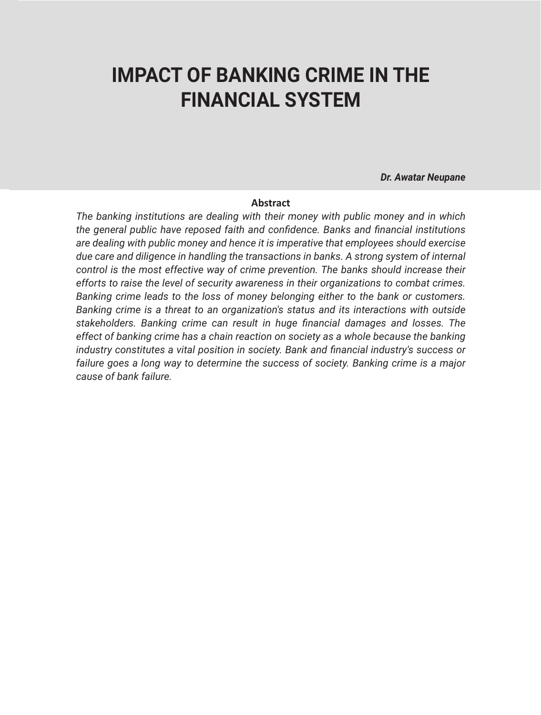### **IMPACT OF BANKING CRIME IN THE FINANCIAL SYSTEM**

*Dr. Awatar Neupane*

#### **Abstract**

*The banking institutions are dealing with their money with public money and in which the general public have reposed faith and confidence. Banks and financial institutions are dealing with public money and hence it is imperative that employees should exercise due care and diligence in handling the transactions in banks. A strong system of internal control is the most effective way of crime prevention. The banks should increase their efforts to raise the level of security awareness in their organizations to combat crimes. Banking crime leads to the loss of money belonging either to the bank or customers. Banking crime is a threat to an organization's status and its interactions with outside stakeholders. Banking crime can result in huge financial damages and losses. The effect of banking crime has a chain reaction on society as a whole because the banking industry constitutes a vital position in society. Bank and financial industry's success or failure goes a long way to determine the success of society. Banking crime is a major cause of bank failure.*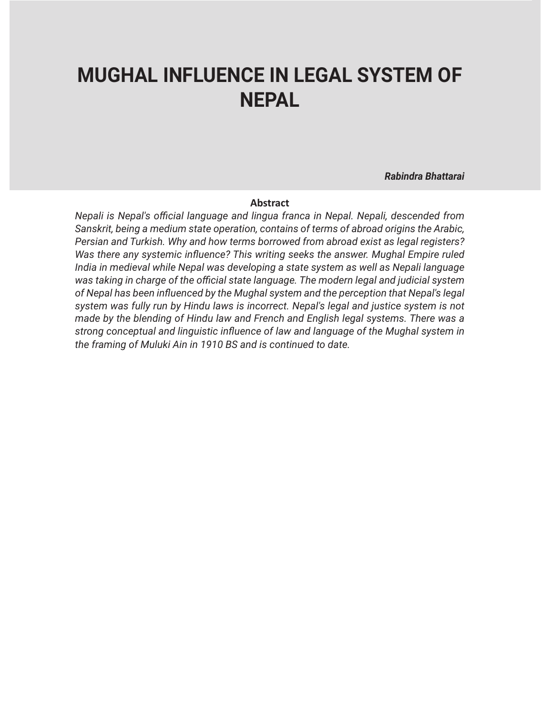## **MUGHAL INFLUENCE IN LEGAL SYSTEM OF NEPAL**

*Rabindra Bhattarai*

#### **Abstract**

*Nepali is Nepal's official language and lingua franca in Nepal. Nepali, descended from Sanskrit, being a medium state operation, contains of terms of abroad origins the Arabic, Persian and Turkish. Why and how terms borrowed from abroad exist as legal registers? Was there any systemic influence? This writing seeks the answer. Mughal Empire ruled India in medieval while Nepal was developing a state system as well as Nepali language was taking in charge of the official state language. The modern legal and judicial system of Nepal has been influenced by the Mughal system and the perception that Nepal's legal system was fully run by Hindu laws is incorrect. Nepal's legal and justice system is not made by the blending of Hindu law and French and English legal systems. There was a strong conceptual and linguistic influence of law and language of the Mughal system in the framing of Muluki Ain in 1910 BS and is continued to date.*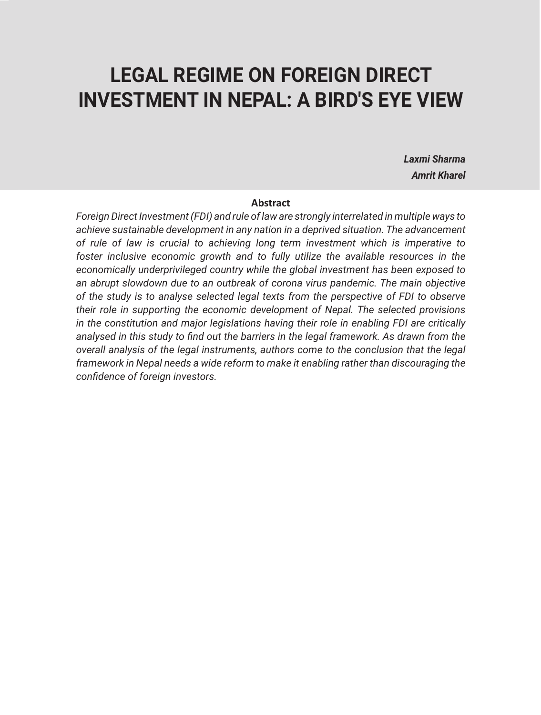### **LEGAL REGIME ON FOREIGN DIRECT INVESTMENT IN NEPAL: A BIRD'S EYE VIEW**

*Laxmi Sharma Amrit Kharel*

#### **Abstract**

*Foreign Direct Investment (FDI) and rule of law are strongly interrelated in multiple ways to achieve sustainable development in any nation in a deprived situation. The advancement of rule of law is crucial to achieving long term investment which is imperative to foster inclusive economic growth and to fully utilize the available resources in the economically underprivileged country while the global investment has been exposed to an abrupt slowdown due to an outbreak of corona virus pandemic. The main objective of the study is to analyse selected legal texts from the perspective of FDI to observe their role in supporting the economic development of Nepal. The selected provisions in the constitution and major legislations having their role in enabling FDI are critically analysed in this study to find out the barriers in the legal framework. As drawn from the overall analysis of the legal instruments, authors come to the conclusion that the legal framework in Nepal needs a wide reform to make it enabling rather than discouraging the confidence of foreign investors.*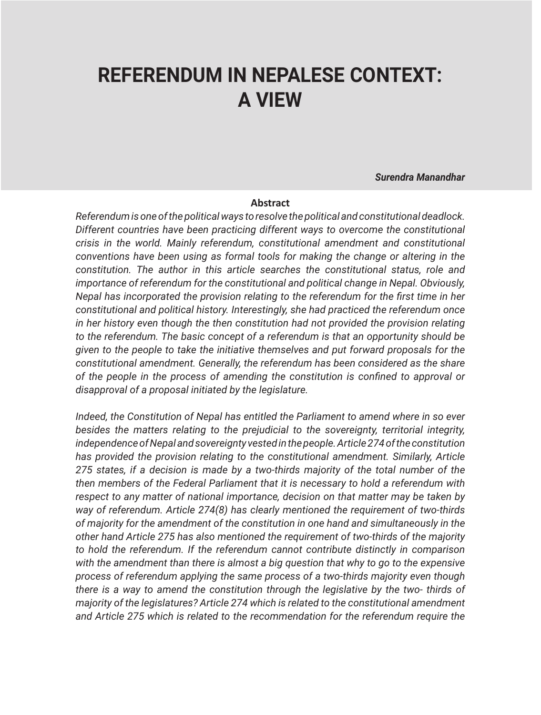## **REFERENDUM IN NEPALESE CONTEXT: A VIEW**

*Surendra Manandhar*

#### **Abstract**

*Referendum is one of the political ways to resolve the political and constitutional deadlock. Different countries have been practicing different ways to overcome the constitutional crisis in the world. Mainly referendum, constitutional amendment and constitutional conventions have been using as formal tools for making the change or altering in the constitution. The author in this article searches the constitutional status, role and importance of referendum for the constitutional and political change in Nepal. Obviously, Nepal has incorporated the provision relating to the referendum for the first time in her constitutional and political history. Interestingly, she had practiced the referendum once in her history even though the then constitution had not provided the provision relating to the referendum. The basic concept of a referendum is that an opportunity should be given to the people to take the initiative themselves and put forward proposals for the constitutional amendment. Generally, the referendum has been considered as the share of the people in the process of amending the constitution is confined to approval or disapproval of a proposal initiated by the legislature.* 

*Indeed, the Constitution of Nepal has entitled the Parliament to amend where in so ever besides the matters relating to the prejudicial to the sovereignty, territorial integrity, independence of Nepal and sovereignty vested in the people. Article 274 of the constitution has provided the provision relating to the constitutional amendment. Similarly, Article 275 states, if a decision is made by a two-thirds majority of the total number of the then members of the Federal Parliament that it is necessary to hold a referendum with respect to any matter of national importance, decision on that matter may be taken by way of referendum. Article 274(8) has clearly mentioned the requirement of two-thirds of majority for the amendment of the constitution in one hand and simultaneously in the other hand Article 275 has also mentioned the requirement of two-thirds of the majority to hold the referendum. If the referendum cannot contribute distinctly in comparison with the amendment than there is almost a big question that why to go to the expensive process of referendum applying the same process of a two-thirds majority even though there is a way to amend the constitution through the legislative by the two- thirds of majority of the legislatures? Article 274 which is related to the constitutional amendment and Article 275 which is related to the recommendation for the referendum require the*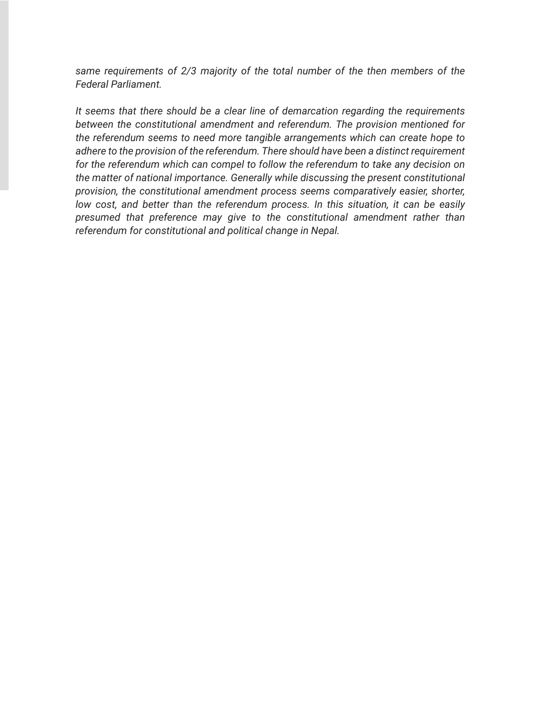*same requirements of 2/3 majority of the total number of the then members of the Federal Parliament.* 

*It seems that there should be a clear line of demarcation regarding the requirements between the constitutional amendment and referendum. The provision mentioned for the referendum seems to need more tangible arrangements which can create hope to adhere to the provision of the referendum. There should have been a distinct requirement for the referendum which can compel to follow the referendum to take any decision on the matter of national importance. Generally while discussing the present constitutional provision, the constitutional amendment process seems comparatively easier, shorter, low cost, and better than the referendum process. In this situation, it can be easily presumed that preference may give to the constitutional amendment rather than referendum for constitutional and political change in Nepal.*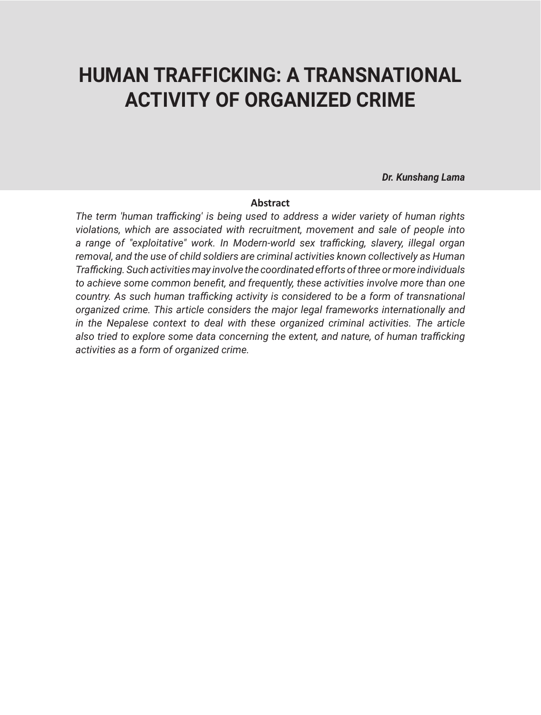## **HUMAN TRAFFICKING: A TRANSNATIONAL ACTIVITY OF ORGANIZED CRIME**

*Dr. Kunshang Lama*

#### **Abstract**

*The term 'human trafficking' is being used to address a wider variety of human rights violations, which are associated with recruitment, movement and sale of people into a range of "exploitative" work. In Modern-world sex trafficking, slavery, illegal organ removal, and the use of child soldiers are criminal activities known collectively as Human Trafficking. Such activities may involve the coordinated efforts of three or more individuals to achieve some common benefit, and frequently, these activities involve more than one country. As such human trafficking activity is considered to be a form of transnational organized crime. This article considers the major legal frameworks internationally and in the Nepalese context to deal with these organized criminal activities. The article also tried to explore some data concerning the extent, and nature, of human trafficking activities as a form of organized crime.*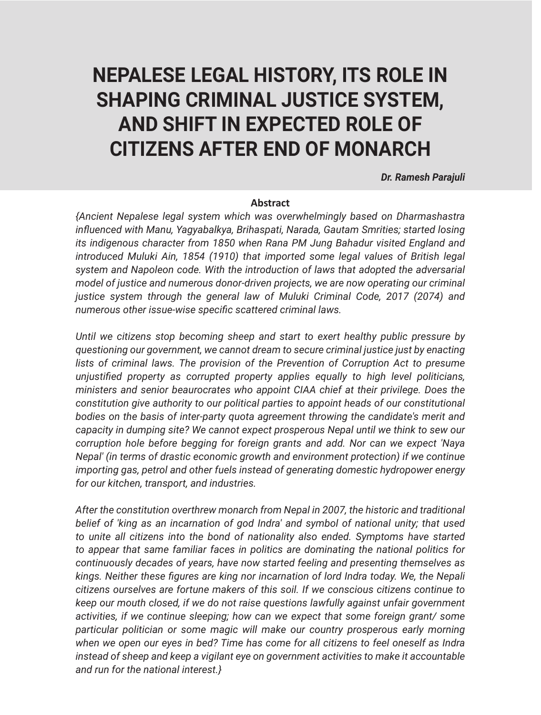# **NEPALESE LEGAL HISTORY, ITS ROLE IN SHAPING CRIMINAL JUSTICE SYSTEM, AND SHIFT IN EXPECTED ROLE OF CITIZENS AFTER END OF MONARCH**

#### *Dr. Ramesh Parajuli*

#### **Abstract**

*{Ancient Nepalese legal system which was overwhelmingly based on Dharmashastra influenced with Manu, Yagyabalkya, Brihaspati, Narada, Gautam Smrities; started losing its indigenous character from 1850 when Rana PM Jung Bahadur visited England and introduced Muluki Ain, 1854 (1910) that imported some legal values of British legal system and Napoleon code. With the introduction of laws that adopted the adversarial model of justice and numerous donor-driven projects, we are now operating our criminal justice system through the general law of Muluki Criminal Code, 2017 (2074) and numerous other issue-wise specific scattered criminal laws.* 

*Until we citizens stop becoming sheep and start to exert healthy public pressure by questioning our government, we cannot dream to secure criminal justice just by enacting*  lists of criminal laws. The provision of the Prevention of Corruption Act to presume *unjustified property as corrupted property applies equally to high level politicians, ministers and senior beaurocrates who appoint CIAA chief at their privilege. Does the constitution give authority to our political parties to appoint heads of our constitutional bodies on the basis of inter-party quota agreement throwing the candidate's merit and capacity in dumping site? We cannot expect prosperous Nepal until we think to sew our corruption hole before begging for foreign grants and add. Nor can we expect 'Naya Nepal' (in terms of drastic economic growth and environment protection) if we continue importing gas, petrol and other fuels instead of generating domestic hydropower energy for our kitchen, transport, and industries.* 

*After the constitution overthrew monarch from Nepal in 2007, the historic and traditional belief of 'king as an incarnation of god Indra' and symbol of national unity; that used to unite all citizens into the bond of nationality also ended. Symptoms have started to appear that same familiar faces in politics are dominating the national politics for continuously decades of years, have now started feeling and presenting themselves as kings. Neither these figures are king nor incarnation of lord Indra today. We, the Nepali citizens ourselves are fortune makers of this soil. If we conscious citizens continue to keep our mouth closed, if we do not raise questions lawfully against unfair government activities, if we continue sleeping; how can we expect that some foreign grant/ some particular politician or some magic will make our country prosperous early morning when we open our eyes in bed? Time has come for all citizens to feel oneself as Indra instead of sheep and keep a vigilant eye on government activities to make it accountable and run for the national interest.}*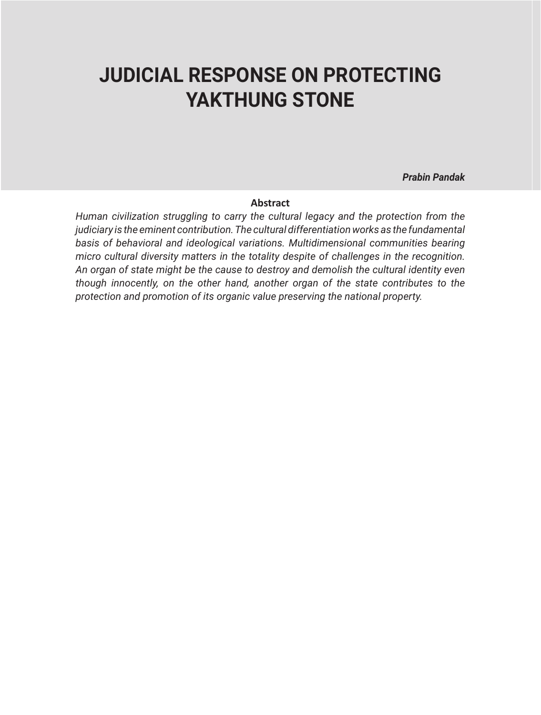## **JUDICIAL RESPONSE ON PROTECTING YAKTHUNG STONE**

*Prabin Pandak*

#### **Abstract**

*Human civilization struggling to carry the cultural legacy and the protection from the judiciary is the eminent contribution. The cultural differentiation works as the fundamental basis of behavioral and ideological variations. Multidimensional communities bearing micro cultural diversity matters in the totality despite of challenges in the recognition. An organ of state might be the cause to destroy and demolish the cultural identity even though innocently, on the other hand, another organ of the state contributes to the protection and promotion of its organic value preserving the national property.*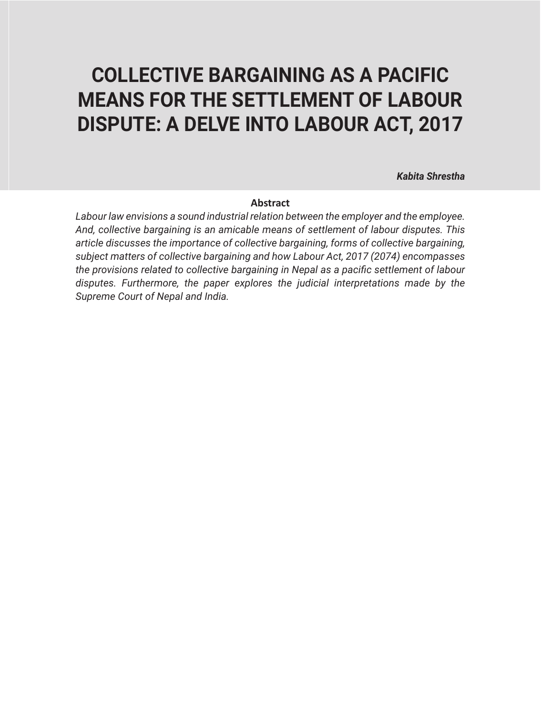# **COLLECTIVE BARGAINING AS A PACIFIC MEANS FOR THE SETTLEMENT OF LABOUR DISPUTE: A DELVE INTO LABOUR ACT, 2017**

*Kabita Shrestha*

#### **Abstract**

*Labour law envisions a sound industrial relation between the employer and the employee. And, collective bargaining is an amicable means of settlement of labour disputes. This article discusses the importance of collective bargaining, forms of collective bargaining, subject matters of collective bargaining and how Labour Act, 2017 (2074) encompasses the provisions related to collective bargaining in Nepal as a pacific settlement of labour disputes. Furthermore, the paper explores the judicial interpretations made by the Supreme Court of Nepal and India.*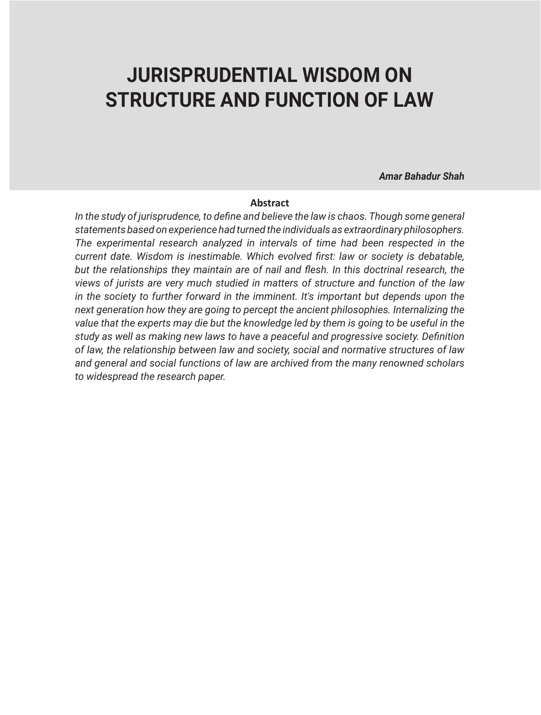### **JURISPRUDENTIAL WISDOM ON STRUCTURE AND FUNCTION OF LAW**

*Amar Bahadur Shah*

#### **Abstract**

*In the study of jurisprudence, to define and believe the law is chaos. Though some general statements based on experience had turned the individuals as extraordinary philosophers. The experimental research analyzed in intervals of time had been respected in the current date. Wisdom is inestimable. Which evolved first: law or society is debatable, but the relationships they maintain are of nail and flesh. In this doctrinal research, the views of jurists are very much studied in matters of structure and function of the law in the society to further forward in the imminent. It's important but depends upon the next generation how they are going to percept the ancient philosophies. Internalizing the value that the experts may die but the knowledge led by them is going to be useful in the study as well as making new laws to have a peaceful and progressive society. Definition of law, the relationship between law and society, social and normative structures of law and general and social functions of law are archived from the many renowned scholars to widespread the research paper.*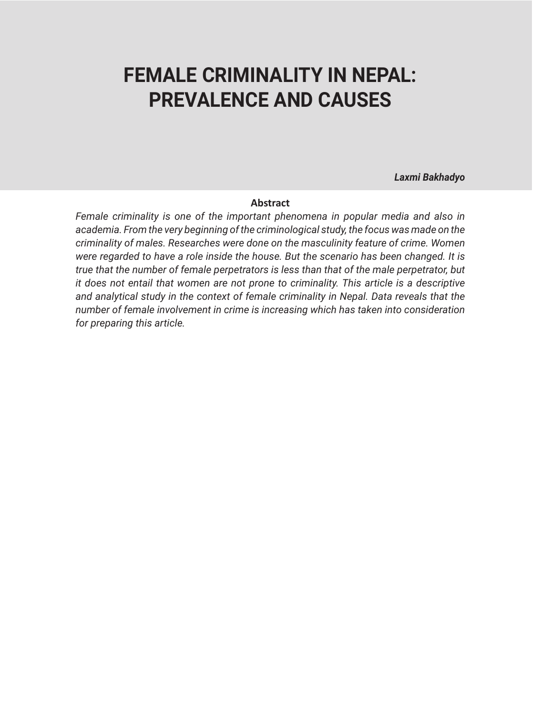## **FEMALE CRIMINALITY IN NEPAL: PREVALENCE AND CAUSES**

*Laxmi Bakhadyo*

#### **Abstract**

*Female criminality is one of the important phenomena in popular media and also in academia. From the very beginning of the criminological study, the focus was made on the criminality of males. Researches were done on the masculinity feature of crime. Women were regarded to have a role inside the house. But the scenario has been changed. It is true that the number of female perpetrators is less than that of the male perpetrator, but it does not entail that women are not prone to criminality. This article is a descriptive and analytical study in the context of female criminality in Nepal. Data reveals that the number of female involvement in crime is increasing which has taken into consideration for preparing this article.*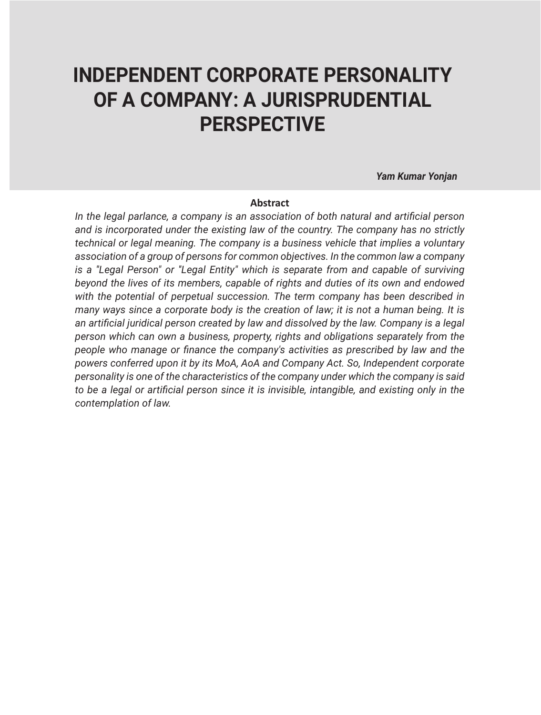## **INDEPENDENT CORPORATE PERSONALITY OF A COMPANY: A JURISPRUDENTIAL PERSPECTIVE**

 *Yam Kumar Yonjan*

#### **Abstract**

*In the legal parlance, a company is an association of both natural and artificial person and is incorporated under the existing law of the country. The company has no strictly technical or legal meaning. The company is a business vehicle that implies a voluntary association of a group of persons for common objectives. In the common law a company is a ''Legal Person" or ''Legal Entity" which is separate from and capable of surviving beyond the lives of its members, capable of rights and duties of its own and endowed with the potential of perpetual succession. The term company has been described in many ways since a corporate body is the creation of law; it is not a human being. It is an artificial juridical person created by law and dissolved by the law. Company is a legal person which can own a business, property, rights and obligations separately from the people who manage or finance the company's activities as prescribed by law and the powers conferred upon it by its MoA, AoA and Company Act. So, Independent corporate personality is one of the characteristics of the company under which the company is said to be a legal or artificial person since it is invisible, intangible, and existing only in the contemplation of law.*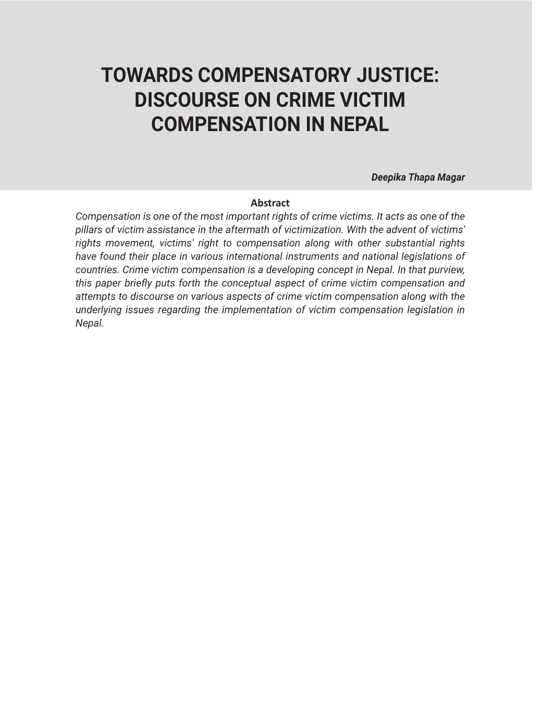# **TOWARDS COMPENSATORY JUSTICE: DISCOURSE ON CRIME VICTIM COMPENSATION IN NEPAL**

*Deepika Thapa Magar*

#### **Abstract**

*Compensation is one of the most important rights of crime victims. It acts as one of the pillars of victim assistance in the aftermath of victimization. With the advent of victims' rights movement, victims' right to compensation along with other substantial rights have found their place in various international instruments and national legislations of countries. Crime victim compensation is a developing concept in Nepal. In that purview, this paper briefly puts forth the conceptual aspect of crime victim compensation and attempts to discourse on various aspects of crime victim compensation along with the underlying issues regarding the implementation of victim compensation legislation in Nepal.*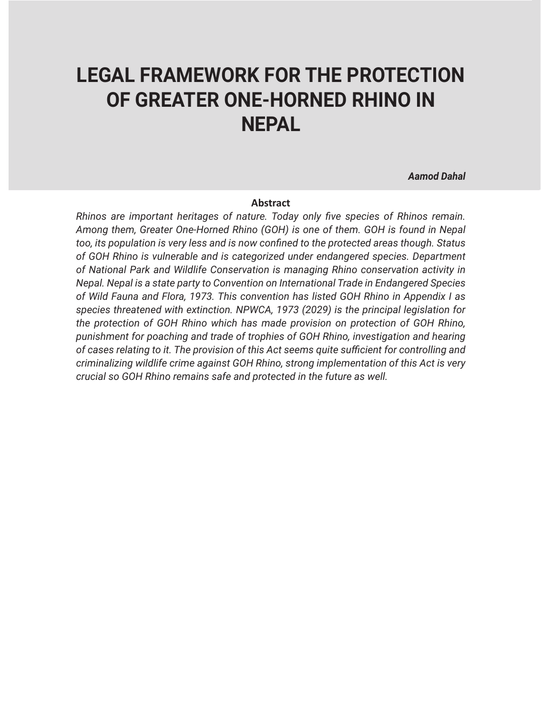## **LEGAL FRAMEWORK FOR THE PROTECTION OF GREATER ONE-HORNED RHINO IN NEPAL**

*Aamod Dahal*

#### **Abstract**

*Rhinos are important heritages of nature. Today only five species of Rhinos remain. Among them, Greater One-Horned Rhino (GOH) is one of them. GOH is found in Nepal too, its population is very less and is now confined to the protected areas though. Status of GOH Rhino is vulnerable and is categorized under endangered species. Department of National Park and Wildlife Conservation is managing Rhino conservation activity in Nepal. Nepal is a state party to Convention on International Trade in Endangered Species of Wild Fauna and Flora, 1973. This convention has listed GOH Rhino in Appendix I as species threatened with extinction. NPWCA, 1973 (2029) is the principal legislation for the protection of GOH Rhino which has made provision on protection of GOH Rhino, punishment for poaching and trade of trophies of GOH Rhino, investigation and hearing of cases relating to it. The provision of this Act seems quite sufficient for controlling and criminalizing wildlife crime against GOH Rhino, strong implementation of this Act is very crucial so GOH Rhino remains safe and protected in the future as well.*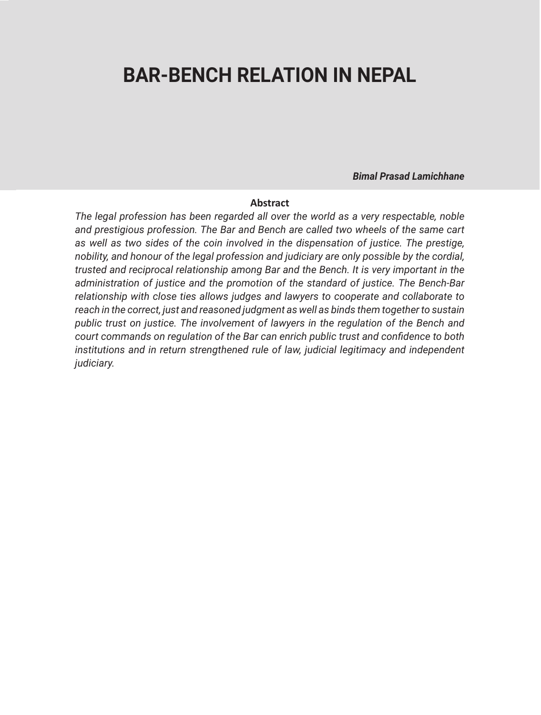## **BAR-BENCH RELATION IN NEPAL**

*Bimal Prasad Lamichhane*

#### **Abstract**

*The legal profession has been regarded all over the world as a very respectable, noble and prestigious profession. The Bar and Bench are called two wheels of the same cart as well as two sides of the coin involved in the dispensation of justice. The prestige, nobility, and honour of the legal profession and judiciary are only possible by the cordial, trusted and reciprocal relationship among Bar and the Bench. It is very important in the administration of justice and the promotion of the standard of justice. The Bench-Bar relationship with close ties allows judges and lawyers to cooperate and collaborate to reach in the correct, just and reasoned judgment as well as binds them together to sustain public trust on justice. The involvement of lawyers in the regulation of the Bench and court commands on regulation of the Bar can enrich public trust and confidence to both institutions and in return strengthened rule of law, judicial legitimacy and independent judiciary.*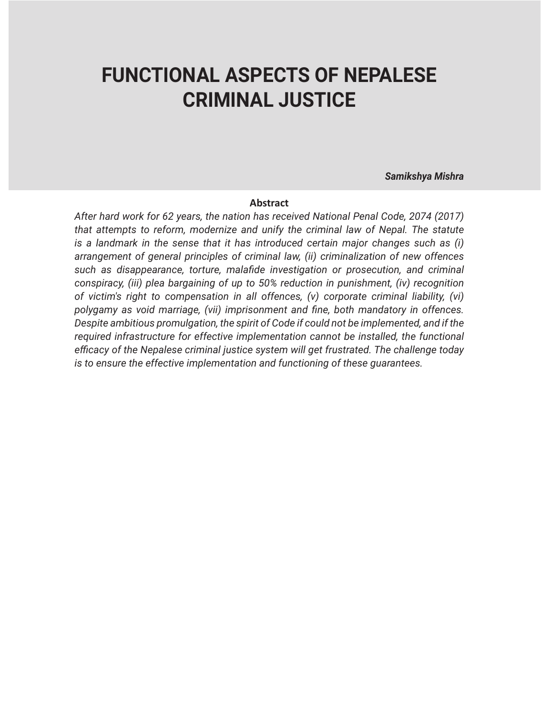### **FUNCTIONAL ASPECTS OF NEPALESE CRIMINAL JUSTICE**

*Samikshya Mishra*

#### **Abstract**

*After hard work for 62 years, the nation has received National Penal Code, 2074 (2017) that attempts to reform, modernize and unify the criminal law of Nepal. The statute is a landmark in the sense that it has introduced certain major changes such as (i) arrangement of general principles of criminal law, (ii) criminalization of new offences such as disappearance, torture, malafide investigation or prosecution, and criminal conspiracy, (iii) plea bargaining of up to 50% reduction in punishment, (iv) recognition of victim's right to compensation in all offences, (v) corporate criminal liability, (vi) polygamy as void marriage, (vii) imprisonment and fine, both mandatory in offences. Despite ambitious promulgation, the spirit of Code if could not be implemented, and if the required infrastructure for effective implementation cannot be installed, the functional efficacy of the Nepalese criminal justice system will get frustrated. The challenge today is to ensure the effective implementation and functioning of these guarantees.*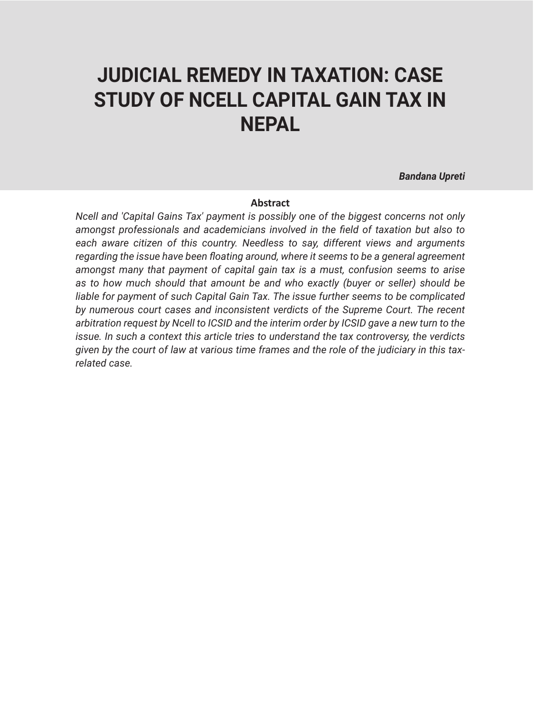## **JUDICIAL REMEDY IN TAXATION: CASE STUDY OF NCELL CAPITAL GAIN TAX IN NEPAL**

*Bandana Upreti*

#### **Abstract**

*Ncell and 'Capital Gains Tax' payment is possibly one of the biggest concerns not only amongst professionals and academicians involved in the field of taxation but also to each aware citizen of this country. Needless to say, different views and arguments regarding the issue have been floating around, where it seems to be a general agreement amongst many that payment of capital gain tax is a must, confusion seems to arise as to how much should that amount be and who exactly (buyer or seller) should be liable for payment of such Capital Gain Tax. The issue further seems to be complicated by numerous court cases and inconsistent verdicts of the Supreme Court. The recent arbitration request by Ncell to ICSID and the interim order by ICSID gave a new turn to the issue. In such a context this article tries to understand the tax controversy, the verdicts given by the court of law at various time frames and the role of the judiciary in this taxrelated case.*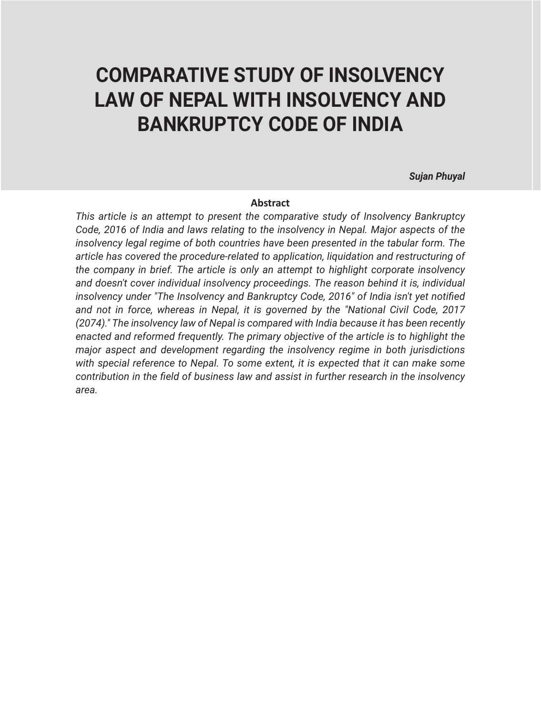## **COMPARATIVE STUDY OF INSOLVENCY LAW OF NEPAL WITH INSOLVENCY AND BANKRUPTCY CODE OF INDIA**

*Sujan Phuyal*

#### **Abstract**

*This article is an attempt to present the comparative study of Insolvency Bankruptcy Code, 2016 of India and laws relating to the insolvency in Nepal. Major aspects of the insolvency legal regime of both countries have been presented in the tabular form. The article has covered the procedure-related to application, liquidation and restructuring of the company in brief. The article is only an attempt to highlight corporate insolvency and doesn't cover individual insolvency proceedings. The reason behind it is, individual insolvency under "The Insolvency and Bankruptcy Code, 2016" of India isn't yet notified and not in force, whereas in Nepal, it is governed by the "National Civil Code, 2017 (2074)." The insolvency law of Nepal is compared with India because it has been recently enacted and reformed frequently. The primary objective of the article is to highlight the major aspect and development regarding the insolvency regime in both jurisdictions with special reference to Nepal. To some extent, it is expected that it can make some contribution in the field of business law and assist in further research in the insolvency area.*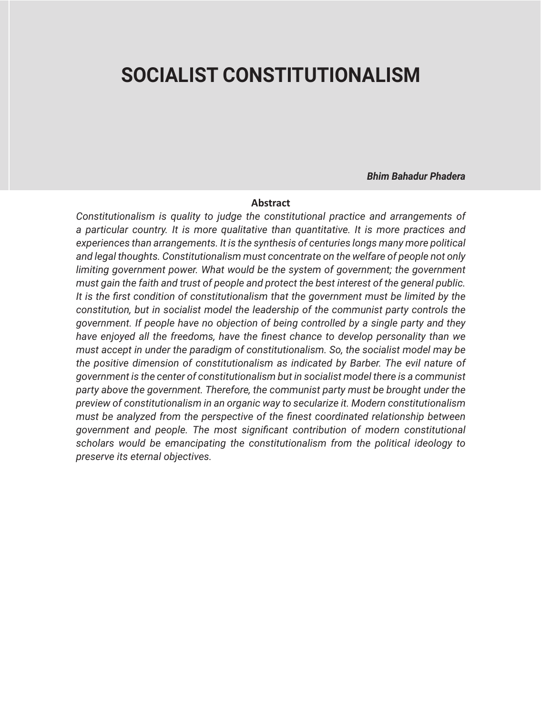### **SOCIALIST CONSTITUTIONALISM**

*Bhim Bahadur Phadera*

#### **Abstract**

*Constitutionalism is quality to judge the constitutional practice and arrangements of a particular country. It is more qualitative than quantitative. It is more practices and experiences than arrangements. It is the synthesis of centuries longs many more political and legal thoughts. Constitutionalism must concentrate on the welfare of people not only*  limiting government power. What would be the system of government; the government *must gain the faith and trust of people and protect the best interest of the general public. It is the first condition of constitutionalism that the government must be limited by the constitution, but in socialist model the leadership of the communist party controls the government. If people have no objection of being controlled by a single party and they have enjoyed all the freedoms, have the finest chance to develop personality than we must accept in under the paradigm of constitutionalism. So, the socialist model may be the positive dimension of constitutionalism as indicated by Barber. The evil nature of government is the center of constitutionalism but in socialist model there is a communist party above the government. Therefore, the communist party must be brought under the preview of constitutionalism in an organic way to secularize it. Modern constitutionalism must be analyzed from the perspective of the finest coordinated relationship between government and people. The most significant contribution of modern constitutional scholars would be emancipating the constitutionalism from the political ideology to preserve its eternal objectives.*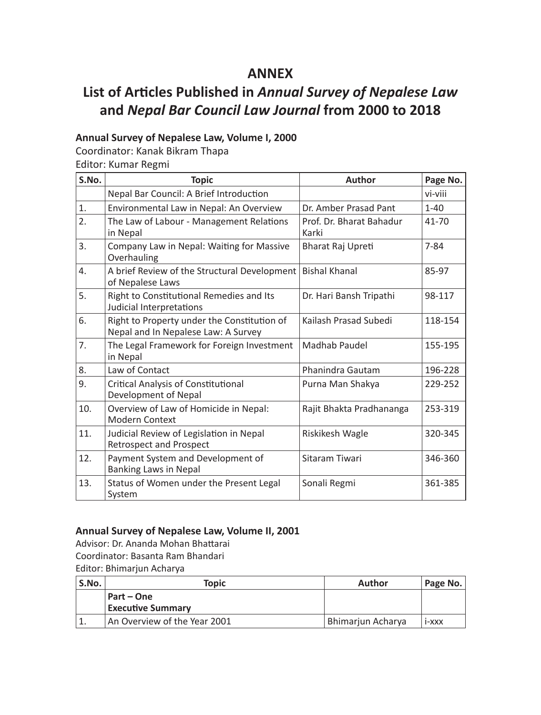### **ANNEX**

### **List of Articles Published in** *Annual Survey of Nepalese Law* **and** *Nepal Bar Council Law Journal* **from 2000 to 2018**

### **Annual Survey of Nepalese Law, Volume I, 2000**

Coordinator: Kanak Bikram Thapa

Editor: Kumar Regmi

| S.No.            | <b>Topic</b>                                                                       | <b>Author</b>                     | Page No.  |
|------------------|------------------------------------------------------------------------------------|-----------------------------------|-----------|
|                  | Nepal Bar Council: A Brief Introduction                                            |                                   | vi-viii   |
| 1.               | Environmental Law in Nepal: An Overview                                            | Dr. Amber Prasad Pant             | $1 - 40$  |
| $\overline{2}$ . | The Law of Labour - Management Relations<br>in Nepal                               | Prof. Dr. Bharat Bahadur<br>Karki | $41 - 70$ |
| 3.               | Company Law in Nepal: Waiting for Massive<br>Overhauling                           | Bharat Raj Upreti                 | $7 - 84$  |
| 4.               | A brief Review of the Structural Development<br>of Nepalese Laws                   | <b>Bishal Khanal</b>              | 85-97     |
| 5.               | Right to Constitutional Remedies and Its<br>Judicial Interpretations               | Dr. Hari Bansh Tripathi           | 98-117    |
| 6.               | Right to Property under the Constitution of<br>Nepal and In Nepalese Law: A Survey | Kailash Prasad Subedi             | 118-154   |
| 7.               | The Legal Framework for Foreign Investment<br>in Nepal                             | Madhab Paudel                     | 155-195   |
| 8.               | Law of Contact                                                                     | Phanindra Gautam                  | 196-228   |
| 9.               | Critical Analysis of Constitutional<br>Development of Nepal                        | Purna Man Shakya                  | 229-252   |
| 10.              | Overview of Law of Homicide in Nepal:<br><b>Modern Context</b>                     | Rajit Bhakta Pradhananga          | 253-319   |
| 11.              | Judicial Review of Legislation in Nepal<br><b>Retrospect and Prospect</b>          | Riskikesh Wagle                   | 320-345   |
| 12.              | Payment System and Development of<br>Banking Laws in Nepal                         | Sitaram Tiwari                    | 346-360   |
| 13.              | Status of Women under the Present Legal<br>System                                  | Sonali Regmi                      | 361-385   |

#### **Annual Survey of Nepalese Law, Volume II, 2001**

Advisor: Dr. Ananda Mohan Bhattarai

Coordinator: Basanta Ram Bhandari

Editor: Bhimarjun Acharya

| ' S.No. | Topic                        | <b>Author</b>     | Page No. |
|---------|------------------------------|-------------------|----------|
|         | Part – One                   |                   |          |
|         | <b>Executive Summary</b>     |                   |          |
|         | An Overview of the Year 2001 | Bhimariun Acharva | i-xxx    |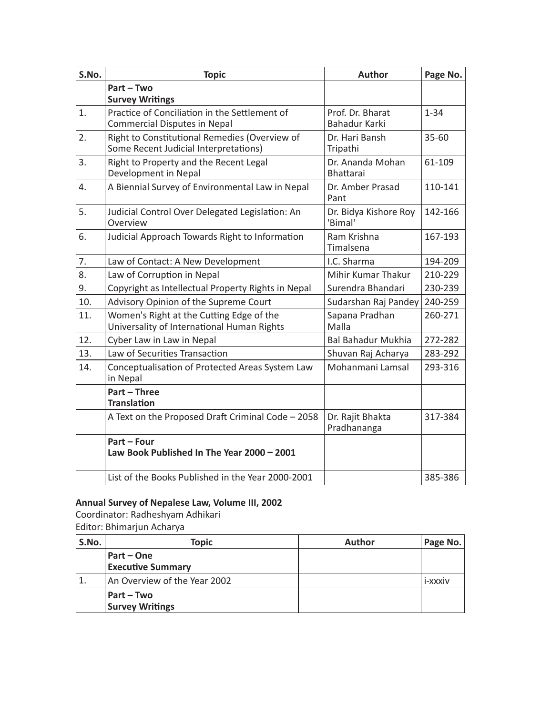| S.No.            | <b>Topic</b>                                                                           | <b>Author</b>                        | Page No.  |
|------------------|----------------------------------------------------------------------------------------|--------------------------------------|-----------|
|                  | Part - Two<br><b>Survey Writings</b>                                                   |                                      |           |
| 1.               | Practice of Conciliation in the Settlement of<br>Commercial Disputes in Nepal          | Prof. Dr. Bharat<br>Bahadur Karki    | $1 - 34$  |
| 2.               | Right to Constitutional Remedies (Overview of<br>Some Recent Judicial Interpretations) | Dr. Hari Bansh<br>Tripathi           | $35 - 60$ |
| $\overline{3}$ . | Right to Property and the Recent Legal<br>Development in Nepal                         | Dr. Ananda Mohan<br><b>Bhattarai</b> | 61-109    |
| 4.               | A Biennial Survey of Environmental Law in Nepal                                        | Dr. Amber Prasad<br>Pant             | 110-141   |
| 5.               | Judicial Control Over Delegated Legislation: An<br>Overview                            | Dr. Bidya Kishore Roy<br>'Bimal'     | 142-166   |
| 6.               | Judicial Approach Towards Right to Information                                         | Ram Krishna<br>Timalsena             | 167-193   |
| 7.               | Law of Contact: A New Development                                                      | I.C. Sharma                          | 194-209   |
| 8.               | Law of Corruption in Nepal                                                             | Mihir Kumar Thakur                   | 210-229   |
| 9.               | Copyright as Intellectual Property Rights in Nepal                                     | Surendra Bhandari                    | 230-239   |
| 10.              | Advisory Opinion of the Supreme Court                                                  | Sudarshan Raj Pandey                 | 240-259   |
| 11.              | Women's Right at the Cutting Edge of the<br>Universality of International Human Rights | Sapana Pradhan<br>Malla              | 260-271   |
| 12.              | Cyber Law in Law in Nepal                                                              | <b>Bal Bahadur Mukhia</b>            | 272-282   |
| 13.              | Law of Securities Transaction                                                          | Shuvan Raj Acharya                   | 283-292   |
| 14.              | Conceptualisation of Protected Areas System Law<br>in Nepal                            | Mohanmani Lamsal                     | 293-316   |
|                  | Part - Three<br><b>Translation</b>                                                     |                                      |           |
|                  | A Text on the Proposed Draft Criminal Code - 2058                                      | Dr. Rajit Bhakta<br>Pradhananga      | 317-384   |
|                  | Part - Four<br>Law Book Published In The Year 2000 - 2001                              |                                      |           |
|                  | List of the Books Published in the Year 2000-2001                                      |                                      | 385-386   |

### **Annual Survey of Nepalese Law, Volume III, 2002**

Coordinator: Radheshyam Adhikari Editor: Bhimarjun Acharya

| S.No. | <b>Topic</b>                 | Author | Page No. |
|-------|------------------------------|--------|----------|
|       | Part – One                   |        |          |
|       | <b>Executive Summary</b>     |        |          |
| ' 1.  | An Overview of the Year 2002 |        | i-xxxiv  |
|       | Part – Two                   |        |          |
|       | <b>Survey Writings</b>       |        |          |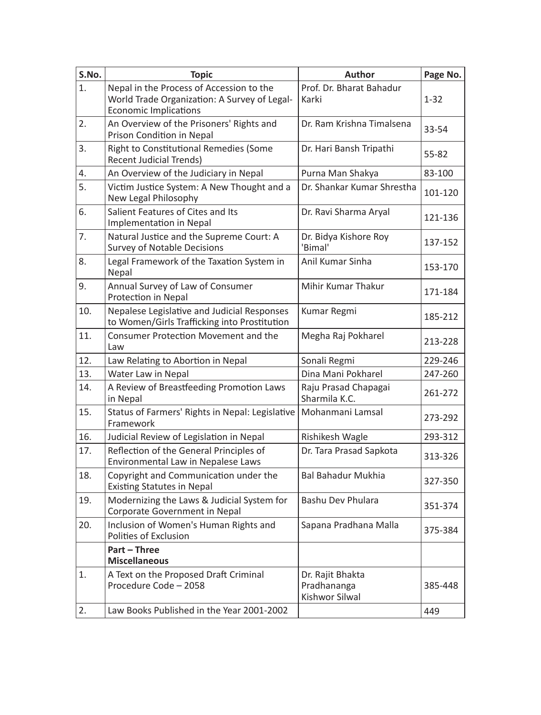| S.No. | <b>Topic</b>                                                                                                             | <b>Author</b>                                     | Page No. |
|-------|--------------------------------------------------------------------------------------------------------------------------|---------------------------------------------------|----------|
| 1.    | Nepal in the Process of Accession to the<br>World Trade Organization: A Survey of Legal-<br><b>Economic Implications</b> | Prof. Dr. Bharat Bahadur<br>Karki                 | $1 - 32$ |
| 2.    | An Overview of the Prisoners' Rights and<br>Prison Condition in Nepal                                                    | Dr. Ram Krishna Timalsena                         | 33-54    |
| 3.    | <b>Right to Constitutional Remedies (Some</b><br><b>Recent Judicial Trends)</b>                                          | Dr. Hari Bansh Tripathi                           | 55-82    |
| 4.    | An Overview of the Judiciary in Nepal                                                                                    | Purna Man Shakya                                  | 83-100   |
| 5.    | Victim Justice System: A New Thought and a<br>New Legal Philosophy                                                       | Dr. Shankar Kumar Shrestha                        | 101-120  |
| 6.    | Salient Features of Cites and Its<br>Implementation in Nepal                                                             | Dr. Ravi Sharma Aryal                             | 121-136  |
| 7.    | Natural Justice and the Supreme Court: A<br><b>Survey of Notable Decisions</b>                                           | Dr. Bidya Kishore Roy<br>'Bimal'                  | 137-152  |
| 8.    | Legal Framework of the Taxation System in<br>Nepal                                                                       | Anil Kumar Sinha                                  | 153-170  |
| 9.    | Annual Survey of Law of Consumer<br>Protection in Nepal                                                                  | Mihir Kumar Thakur                                | 171-184  |
| 10.   | Nepalese Legislative and Judicial Responses<br>to Women/Girls Trafficking into Prostitution                              | Kumar Regmi                                       | 185-212  |
| 11.   | Consumer Protection Movement and the<br>Law                                                                              | Megha Raj Pokharel                                | 213-228  |
| 12.   | Law Relating to Abortion in Nepal                                                                                        | Sonali Regmi                                      | 229-246  |
| 13.   | Water Law in Nepal                                                                                                       | Dina Mani Pokharel                                | 247-260  |
| 14.   | A Review of Breastfeeding Promotion Laws<br>in Nepal                                                                     | Raju Prasad Chapagai<br>Sharmila K.C.             | 261-272  |
| 15.   | Status of Farmers' Rights in Nepal: Legislative<br>Framework                                                             | Mohanmani Lamsal                                  | 273-292  |
| 16.   | Judicial Review of Legislation in Nepal                                                                                  | Rishikesh Wagle                                   | 293-312  |
| 17.   | Reflection of the General Principles of<br>Environmental Law in Nepalese Laws                                            | Dr. Tara Prasad Sapkota                           | 313-326  |
| 18.   | Copyright and Communication under the<br><b>Existing Statutes in Nepal</b>                                               | <b>Bal Bahadur Mukhia</b>                         | 327-350  |
| 19.   | Modernizing the Laws & Judicial System for<br>Corporate Government in Nepal                                              | Bashu Dev Phulara                                 | 351-374  |
| 20.   | Inclusion of Women's Human Rights and<br>Polities of Exclusion                                                           | Sapana Pradhana Malla                             | 375-384  |
|       | Part - Three<br><b>Miscellaneous</b>                                                                                     |                                                   |          |
| 1.    | A Text on the Proposed Draft Criminal<br>Procedure Code - 2058                                                           | Dr. Rajit Bhakta<br>Pradhananga<br>Kishwor Silwal | 385-448  |
| 2.    | Law Books Published in the Year 2001-2002                                                                                |                                                   | 449      |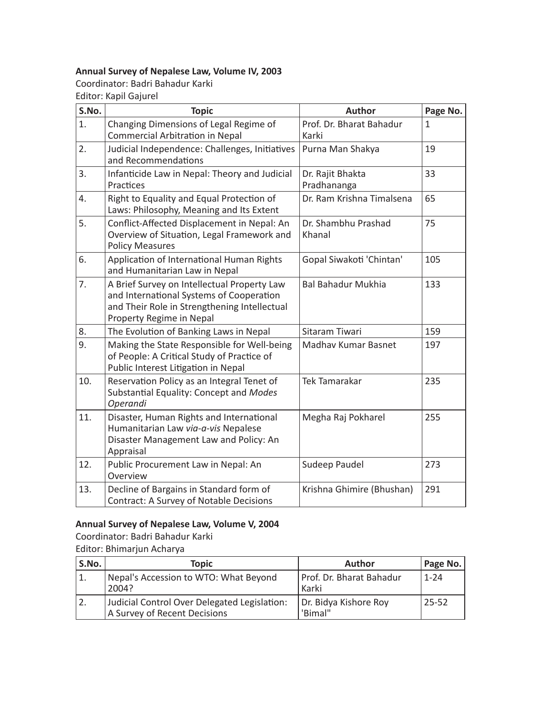### **Annual Survey of Nepalese Law, Volume IV, 2003**

Coordinator: Badri Bahadur Karki Editor: Kapil Gajurel

| S.No. | <b>Topic</b>                                                                                                                                                        | Author                            | Page No.     |
|-------|---------------------------------------------------------------------------------------------------------------------------------------------------------------------|-----------------------------------|--------------|
| 1.    | Changing Dimensions of Legal Regime of<br>Commercial Arbitration in Nepal                                                                                           | Prof. Dr. Bharat Bahadur<br>Karki | $\mathbf{1}$ |
| 2.    | Judicial Independence: Challenges, Initiatives<br>and Recommendations                                                                                               | Purna Man Shakya                  | 19           |
| 3.    | Infanticide Law in Nepal: Theory and Judicial<br>Practices                                                                                                          | Dr. Rajit Bhakta<br>Pradhananga   | 33           |
| 4.    | Right to Equality and Equal Protection of<br>Laws: Philosophy, Meaning and Its Extent                                                                               | Dr. Ram Krishna Timalsena         | 65           |
| 5.    | Conflict-Affected Displacement in Nepal: An<br>Overview of Situation, Legal Framework and<br><b>Policy Measures</b>                                                 | Dr. Shambhu Prashad<br>Khanal     | 75           |
| 6.    | Application of International Human Rights<br>and Humanitarian Law in Nepal                                                                                          | Gopal Siwakoti 'Chintan'          | 105          |
| 7.    | A Brief Survey on Intellectual Property Law<br>and International Systems of Cooperation<br>and Their Role in Strengthening Intellectual<br>Property Regime in Nepal | <b>Bal Bahadur Mukhia</b>         | 133          |
| 8.    | The Evolution of Banking Laws in Nepal                                                                                                                              | Sitaram Tiwari                    | 159          |
| 9.    | Making the State Responsible for Well-being<br>of People: A Critical Study of Practice of<br>Public Interest Litigation in Nepal                                    | Madhav Kumar Basnet               | 197          |
| 10.   | Reservation Policy as an Integral Tenet of<br>Substantial Equality: Concept and Modes<br>Operandi                                                                   | <b>Tek Tamarakar</b>              | 235          |
| 11.   | Disaster, Human Rights and International<br>Humanitarian Law via-a-vis Nepalese<br>Disaster Management Law and Policy: An<br>Appraisal                              | Megha Raj Pokharel                | 255          |
| 12.   | Public Procurement Law in Nepal: An<br>Overview                                                                                                                     | Sudeep Paudel                     | 273          |
| 13.   | Decline of Bargains in Standard form of<br>Contract: A Survey of Notable Decisions                                                                                  | Krishna Ghimire (Bhushan)         | 291          |

### **Annual Survey of Nepalese Law, Volume V, 2004**

Coordinator: Badri Bahadur Karki Editor: Bhimarjun Acharya

| S.No. | Topic                                                                        | Author                            | Page No.  |
|-------|------------------------------------------------------------------------------|-----------------------------------|-----------|
| 1.    | Nepal's Accession to WTO: What Beyond<br>2004?                               | Prof. Dr. Bharat Bahadur<br>Karki | $1 - 24$  |
| 2.    | Judicial Control Over Delegated Legislation:<br>A Survey of Recent Decisions | Dr. Bidya Kishore Roy<br>'Bimal"  | $25 - 52$ |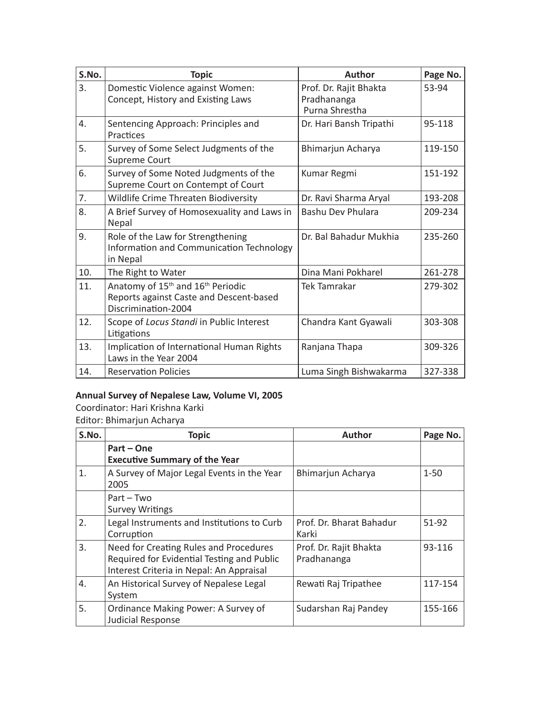| S.No. | <b>Topic</b>                                                                                                                | Author                                                  | Page No. |
|-------|-----------------------------------------------------------------------------------------------------------------------------|---------------------------------------------------------|----------|
| 3.    | Domestic Violence against Women:<br>Concept, History and Existing Laws                                                      | Prof. Dr. Rajit Bhakta<br>Pradhananga<br>Purna Shrestha | 53-94    |
| 4.    | Sentencing Approach: Principles and<br>Practices                                                                            | Dr. Hari Bansh Tripathi                                 | 95-118   |
| 5.    | Survey of Some Select Judgments of the<br>Supreme Court                                                                     | Bhimarjun Acharya                                       | 119-150  |
| 6.    | Survey of Some Noted Judgments of the<br>Supreme Court on Contempt of Court                                                 | Kumar Regmi                                             | 151-192  |
| 7.    | Wildlife Crime Threaten Biodiversity                                                                                        | Dr. Ravi Sharma Aryal                                   | 193-208  |
| 8.    | A Brief Survey of Homosexuality and Laws in<br>Nepal                                                                        | Bashu Dev Phulara                                       | 209-234  |
| 9.    | Role of the Law for Strengthening<br>Information and Communication Technology<br>in Nepal                                   | Dr. Bal Bahadur Mukhia                                  | 235-260  |
| 10.   | The Right to Water                                                                                                          | Dina Mani Pokharel                                      | 261-278  |
| 11.   | Anatomy of 15 <sup>th</sup> and 16 <sup>th</sup> Periodic<br>Reports against Caste and Descent-based<br>Discrimination-2004 | Tek Tamrakar                                            | 279-302  |
| 12.   | Scope of Locus Standi in Public Interest<br>Litigations                                                                     | Chandra Kant Gyawali                                    | 303-308  |
| 13.   | Implication of International Human Rights<br>Laws in the Year 2004                                                          | Ranjana Thapa                                           | 309-326  |
| 14.   | <b>Reservation Policies</b>                                                                                                 | Luma Singh Bishwakarma                                  | 327-338  |

### **Annual Survey of Nepalese Law, Volume VI, 2005**

Coordinator: Hari Krishna Karki

Editor: Bhimarjun Acharya

| S.No. | <b>Topic</b>                                                                                                                     | Author                                | Page No. |
|-------|----------------------------------------------------------------------------------------------------------------------------------|---------------------------------------|----------|
|       | Part – One<br><b>Executive Summary of the Year</b>                                                                               |                                       |          |
| 1.    | A Survey of Major Legal Events in the Year<br>2005                                                                               | Bhimarjun Acharya                     | $1 - 50$ |
|       | $Part - Two$<br><b>Survey Writings</b>                                                                                           |                                       |          |
| 2.    | Legal Instruments and Institutions to Curb<br>Corruption                                                                         | Prof. Dr. Bharat Bahadur<br>Karki     | 51-92    |
| 3.    | Need for Creating Rules and Procedures<br>Required for Evidential Testing and Public<br>Interest Criteria in Nepal: An Appraisal | Prof. Dr. Rajit Bhakta<br>Pradhananga | 93-116   |
| 4.    | An Historical Survey of Nepalese Legal<br>System                                                                                 | Rewati Raj Tripathee                  | 117-154  |
| 5.    | Ordinance Making Power: A Survey of<br>Judicial Response                                                                         | Sudarshan Raj Pandey                  | 155-166  |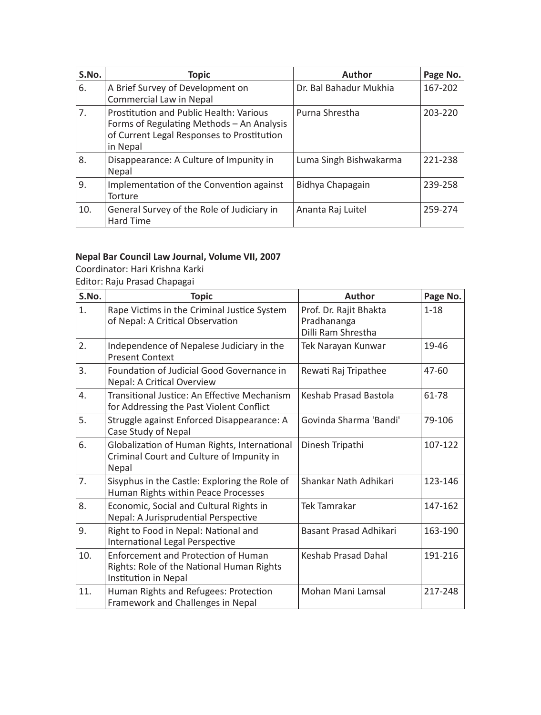| S.No. | Topic                                                                                                                                          | Author                 | Page No. |
|-------|------------------------------------------------------------------------------------------------------------------------------------------------|------------------------|----------|
| 6.    | A Brief Survey of Development on<br>Commercial Law in Nepal                                                                                    | Dr. Bal Bahadur Mukhia | 167-202  |
| 7.    | Prostitution and Public Health: Various<br>Forms of Regulating Methods – An Analysis<br>of Current Legal Responses to Prostitution<br>in Nepal | Purna Shrestha         | 203-220  |
| 8.    | Disappearance: A Culture of Impunity in<br>Nepal                                                                                               | Luma Singh Bishwakarma | 221-238  |
| 9.    | Implementation of the Convention against<br>Torture                                                                                            | Bidhya Chapagain       | 239-258  |
| 10.   | General Survey of the Role of Judiciary in<br><b>Hard Time</b>                                                                                 | Ananta Raj Luitel      | 259-274  |

### **Nepal Bar Council Law Journal, Volume VII, 2007**

Coordinator: Hari Krishna Karki Editor: Raju Prasad Chapagai

| S.No. | <b>Topic</b>                                                                                                    | <b>Author</b>                                               | Page No. |
|-------|-----------------------------------------------------------------------------------------------------------------|-------------------------------------------------------------|----------|
| 1.    | Rape Victims in the Criminal Justice System<br>of Nepal: A Critical Observation                                 | Prof. Dr. Rajit Bhakta<br>Pradhananga<br>Dilli Ram Shrestha | $1 - 18$ |
| 2.    | Independence of Nepalese Judiciary in the<br><b>Present Context</b>                                             | Tek Narayan Kunwar                                          | 19-46    |
| 3.    | Foundation of Judicial Good Governance in<br>Nepal: A Critical Overview                                         | Rewati Raj Tripathee                                        | 47-60    |
| 4.    | Transitional Justice: An Effective Mechanism<br>for Addressing the Past Violent Conflict                        | Keshab Prasad Bastola                                       | 61-78    |
| 5.    | Struggle against Enforced Disappearance: A<br>Case Study of Nepal                                               | Govinda Sharma 'Bandi'                                      | 79-106   |
| 6.    | Globalization of Human Rights, International<br>Criminal Court and Culture of Impunity in<br>Nepal              | Dinesh Tripathi                                             | 107-122  |
| 7.    | Sisyphus in the Castle: Exploring the Role of<br>Human Rights within Peace Processes                            | Shankar Nath Adhikari                                       | 123-146  |
| 8.    | Economic, Social and Cultural Rights in<br>Nepal: A Jurisprudential Perspective                                 | Tek Tamrakar                                                | 147-162  |
| 9.    | Right to Food in Nepal: National and<br>International Legal Perspective                                         | Basant Prasad Adhikari                                      | 163-190  |
| 10.   | <b>Enforcement and Protection of Human</b><br>Rights: Role of the National Human Rights<br>Institution in Nepal | <b>Keshab Prasad Dahal</b>                                  | 191-216  |
| 11.   | Human Rights and Refugees: Protection<br>Framework and Challenges in Nepal                                      | Mohan Mani Lamsal                                           | 217-248  |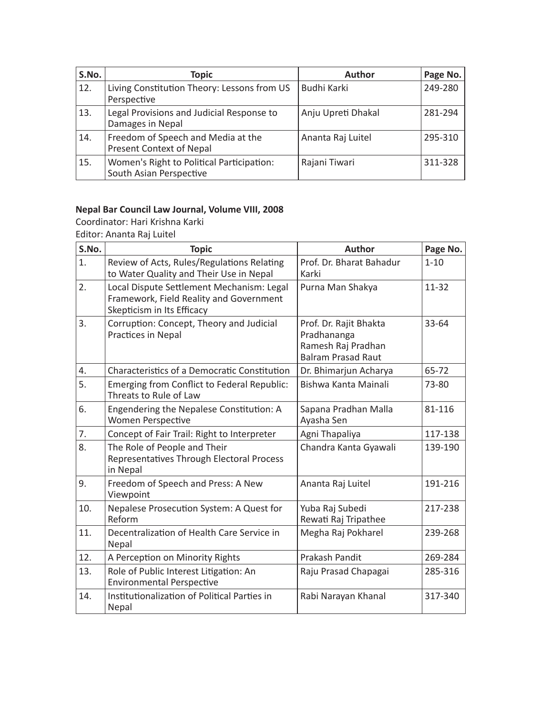| S.No. | <b>Topic</b>                                                         | <b>Author</b>      | Page No. |
|-------|----------------------------------------------------------------------|--------------------|----------|
| 12.   | Living Constitution Theory: Lessons from US<br>Perspective           | Budhi Karki        | 249-280  |
| 13.   | Legal Provisions and Judicial Response to<br>Damages in Nepal        | Anju Upreti Dhakal | 281-294  |
| 14.   | Freedom of Speech and Media at the<br>Present Context of Nepal       | Ananta Raj Luitel  | 295-310  |
| 15.   | Women's Right to Political Participation:<br>South Asian Perspective | Rajani Tiwari      | 311-328  |

### **Nepal Bar Council Law Journal, Volume VIII, 2008**

Coordinator: Hari Krishna Karki

Editor: Ananta Raj Luitel

| S.No. | <b>Topic</b>                                                                                                       | <b>Author</b>                                                                            | Page No.  |
|-------|--------------------------------------------------------------------------------------------------------------------|------------------------------------------------------------------------------------------|-----------|
| 1.    | Review of Acts, Rules/Regulations Relating<br>to Water Quality and Their Use in Nepal                              | Prof. Dr. Bharat Bahadur<br>Karki                                                        | $1 - 10$  |
| 2.    | Local Dispute Settlement Mechanism: Legal<br>Framework, Field Reality and Government<br>Skepticism in Its Efficacy | Purna Man Shakya                                                                         | $11 - 32$ |
| 3.    | Corruption: Concept, Theory and Judicial<br>Practices in Nepal                                                     | Prof. Dr. Rajit Bhakta<br>Pradhananga<br>Ramesh Raj Pradhan<br><b>Balram Prasad Raut</b> | 33-64     |
| 4.    | Characteristics of a Democratic Constitution                                                                       | Dr. Bhimarjun Acharya                                                                    | 65-72     |
| 5.    | Emerging from Conflict to Federal Republic:<br>Threats to Rule of Law                                              | Bishwa Kanta Mainali                                                                     | 73-80     |
| 6.    | Engendering the Nepalese Constitution: A<br>Women Perspective                                                      | Sapana Pradhan Malla<br>Ayasha Sen                                                       | 81-116    |
| 7.    | Concept of Fair Trail: Right to Interpreter                                                                        | Agni Thapaliya                                                                           | 117-138   |
| 8.    | The Role of People and Their<br>Representatives Through Electoral Process<br>in Nepal                              | Chandra Kanta Gyawali                                                                    | 139-190   |
| 9.    | Freedom of Speech and Press: A New<br>Viewpoint                                                                    | Ananta Raj Luitel                                                                        | 191-216   |
| 10.   | Nepalese Prosecution System: A Quest for<br>Reform                                                                 | Yuba Raj Subedi<br>Rewati Raj Tripathee                                                  | 217-238   |
| 11.   | Decentralization of Health Care Service in<br>Nepal                                                                | Megha Raj Pokharel                                                                       | 239-268   |
| 12.   | A Perception on Minority Rights                                                                                    | Prakash Pandit                                                                           | 269-284   |
| 13.   | Role of Public Interest Litigation: An<br><b>Environmental Perspective</b>                                         | Raju Prasad Chapagai                                                                     | 285-316   |
| 14.   | Institutionalization of Political Parties in<br>Nepal                                                              | Rabi Narayan Khanal                                                                      | 317-340   |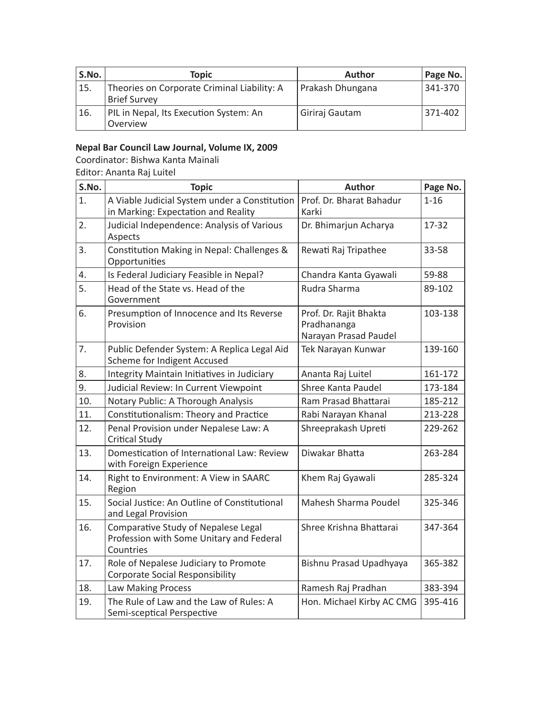| S.No. | Topic                                                              | Author           | Page No. |
|-------|--------------------------------------------------------------------|------------------|----------|
| 15.   | Theories on Corporate Criminal Liability: A<br><b>Brief Survey</b> | Prakash Dhungana | 341-370  |
| 16.   | PIL in Nepal, Its Execution System: An<br>Overview                 | Giriraj Gautam   | 371-402  |

### **Nepal Bar Council Law Journal, Volume IX, 2009**

Coordinator: Bishwa Kanta Mainali

Editor: Ananta Raj Luitel

| S.No.            | <b>Topic</b>                                                                                 | <b>Author</b>                                                  | Page No. |
|------------------|----------------------------------------------------------------------------------------------|----------------------------------------------------------------|----------|
| 1.               | A Viable Judicial System under a Constitution<br>in Marking: Expectation and Reality         | Prof. Dr. Bharat Bahadur<br>Karki                              | $1 - 16$ |
| 2.               | Judicial Independence: Analysis of Various<br>Aspects                                        | Dr. Bhimarjun Acharya                                          | 17-32    |
| $\overline{3}$ . | Constitution Making in Nepal: Challenges &<br>Opportunities                                  | Rewati Raj Tripathee                                           | 33-58    |
| 4.               | Is Federal Judiciary Feasible in Nepal?                                                      | Chandra Kanta Gyawali                                          | 59-88    |
| 5.               | Head of the State vs. Head of the<br>Government                                              | Rudra Sharma                                                   | 89-102   |
| 6.               | Presumption of Innocence and Its Reverse<br>Provision                                        | Prof. Dr. Rajit Bhakta<br>Pradhananga<br>Narayan Prasad Paudel | 103-138  |
| 7.               | Public Defender System: A Replica Legal Aid<br>Scheme for Indigent Accused                   | Tek Narayan Kunwar                                             | 139-160  |
| 8.               | Integrity Maintain Initiatives in Judiciary                                                  | Ananta Raj Luitel                                              | 161-172  |
| 9.               | Judicial Review: In Current Viewpoint                                                        | Shree Kanta Paudel                                             | 173-184  |
| 10.              | Notary Public: A Thorough Analysis                                                           | Ram Prasad Bhattarai                                           | 185-212  |
| 11.              | Constitutionalism: Theory and Practice                                                       | Rabi Narayan Khanal                                            | 213-228  |
| 12.              | Penal Provision under Nepalese Law: A<br>Critical Study                                      | Shreeprakash Upreti                                            | 229-262  |
| 13.              | Domestication of International Law: Review<br>with Foreign Experience                        | Diwakar Bhatta                                                 | 263-284  |
| 14.              | Right to Environment: A View in SAARC<br>Region                                              | Khem Raj Gyawali                                               | 285-324  |
| 15.              | Social Justice: An Outline of Constitutional<br>and Legal Provision                          | Mahesh Sharma Poudel                                           | 325-346  |
| 16.              | Comparative Study of Nepalese Legal<br>Profession with Some Unitary and Federal<br>Countries | Shree Krishna Bhattarai                                        | 347-364  |
| 17.              | Role of Nepalese Judiciary to Promote<br>Corporate Social Responsibility                     | Bishnu Prasad Upadhyaya                                        | 365-382  |
| 18.              | Law Making Process                                                                           | Ramesh Raj Pradhan                                             | 383-394  |
| 19.              | The Rule of Law and the Law of Rules: A<br>Semi-sceptical Perspective                        | Hon. Michael Kirby AC CMG                                      | 395-416  |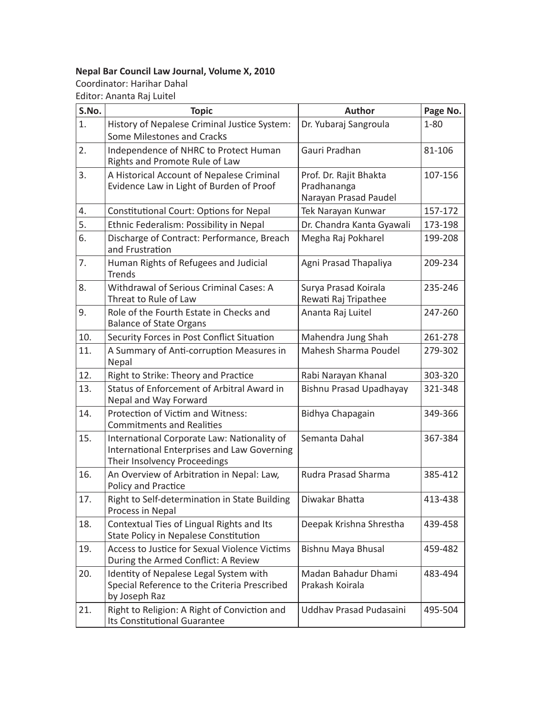### **Nepal Bar Council Law Journal, Volume X, 2010**

Coordinator: Harihar Dahal Editor: Ananta Raj Luitel

| S.No.            | <b>Topic</b>                                                                                                               | <b>Author</b>                                                  | Page No. |
|------------------|----------------------------------------------------------------------------------------------------------------------------|----------------------------------------------------------------|----------|
| 1.               | History of Nepalese Criminal Justice System:<br>Some Milestones and Cracks                                                 | Dr. Yubaraj Sangroula                                          | $1 - 80$ |
| $\overline{2}$ . | Independence of NHRC to Protect Human<br>Rights and Promote Rule of Law                                                    | Gauri Pradhan                                                  | 81-106   |
| 3.               | A Historical Account of Nepalese Criminal<br>Evidence Law in Light of Burden of Proof                                      | Prof. Dr. Rajit Bhakta<br>Pradhananga<br>Narayan Prasad Paudel | 107-156  |
| 4.               | Constitutional Court: Options for Nepal                                                                                    | Tek Narayan Kunwar                                             | 157-172  |
| 5.               | Ethnic Federalism: Possibility in Nepal                                                                                    | Dr. Chandra Kanta Gyawali                                      | 173-198  |
| 6.               | Discharge of Contract: Performance, Breach<br>and Frustration                                                              | Megha Raj Pokharel                                             | 199-208  |
| 7.               | Human Rights of Refugees and Judicial<br><b>Trends</b>                                                                     | Agni Prasad Thapaliya                                          | 209-234  |
| 8.               | Withdrawal of Serious Criminal Cases: A<br>Threat to Rule of Law                                                           | Surya Prasad Koirala<br>Rewati Raj Tripathee                   | 235-246  |
| 9.               | Role of the Fourth Estate in Checks and<br><b>Balance of State Organs</b>                                                  | Ananta Raj Luitel                                              | 247-260  |
| 10.              | Security Forces in Post Conflict Situation                                                                                 | Mahendra Jung Shah                                             | 261-278  |
| 11.              | A Summary of Anti-corruption Measures in<br>Nepal                                                                          | Mahesh Sharma Poudel                                           | 279-302  |
| 12.              | Right to Strike: Theory and Practice                                                                                       | Rabi Narayan Khanal                                            | 303-320  |
| 13.              | Status of Enforcement of Arbitral Award in<br>Nepal and Way Forward                                                        | <b>Bishnu Prasad Upadhayay</b>                                 | 321-348  |
| 14.              | Protection of Victim and Witness:<br><b>Commitments and Realities</b>                                                      | Bidhya Chapagain                                               | 349-366  |
| 15.              | International Corporate Law: Nationality of<br>International Enterprises and Law Governing<br>Their Insolvency Proceedings | Semanta Dahal                                                  | 367-384  |
| 16.              | An Overview of Arbitration in Nepal: Law,<br>Policy and Practice                                                           | Rudra Prasad Sharma                                            | 385-412  |
| 17.              | Right to Self-determination in State Building<br>Process in Nepal                                                          | Diwakar Bhatta                                                 | 413-438  |
| 18.              | Contextual Ties of Lingual Rights and Its<br>State Policy in Nepalese Constitution                                         | Deepak Krishna Shrestha                                        | 439-458  |
| 19.              | Access to Justice for Sexual Violence Victims<br>During the Armed Conflict: A Review                                       | Bishnu Maya Bhusal                                             | 459-482  |
| 20.              | Identity of Nepalese Legal System with<br>Special Reference to the Criteria Prescribed<br>by Joseph Raz                    | Madan Bahadur Dhami<br>Prakash Koirala                         | 483-494  |
| 21.              | Right to Religion: A Right of Conviction and<br>Its Constitutional Guarantee                                               | Uddhay Prasad Pudasaini                                        | 495-504  |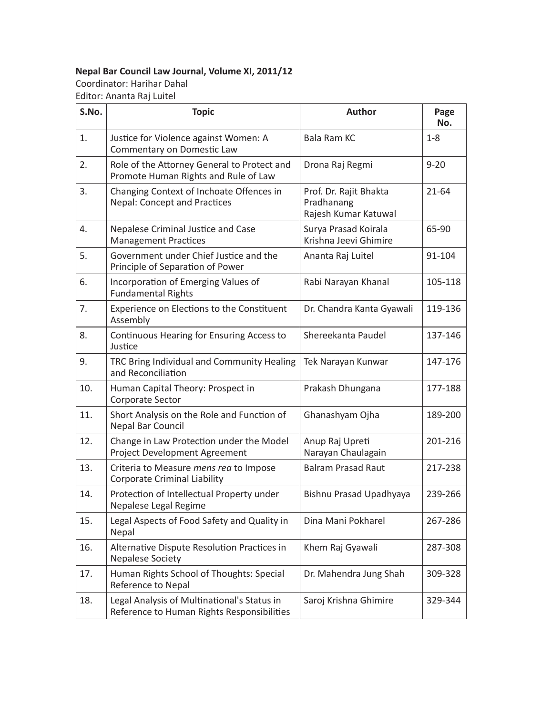### **Nepal Bar Council Law Journal, Volume XI, 2011/12**

Coordinator: Harihar Dahal Editor: Ananta Raj Luitel

| S.No. | <b>Topic</b>                                                                              | <b>Author</b>                                                | Page<br>No. |
|-------|-------------------------------------------------------------------------------------------|--------------------------------------------------------------|-------------|
| 1.    | Justice for Violence against Women: A<br>Commentary on Domestic Law                       | Bala Ram KC                                                  | $1 - 8$     |
| 2.    | Role of the Attorney General to Protect and<br>Promote Human Rights and Rule of Law       | Drona Raj Regmi                                              | $9 - 20$    |
| 3.    | Changing Context of Inchoate Offences in<br><b>Nepal: Concept and Practices</b>           | Prof. Dr. Rajit Bhakta<br>Pradhanang<br>Rajesh Kumar Katuwal | $21 - 64$   |
| 4.    | Nepalese Criminal Justice and Case<br><b>Management Practices</b>                         | Surya Prasad Koirala<br>Krishna Jeevi Ghimire                | 65-90       |
| 5.    | Government under Chief Justice and the<br>Principle of Separation of Power                | Ananta Raj Luitel                                            | 91-104      |
| 6.    | Incorporation of Emerging Values of<br><b>Fundamental Rights</b>                          | Rabi Narayan Khanal                                          | 105-118     |
| 7.    | Experience on Elections to the Constituent<br>Assembly                                    | Dr. Chandra Kanta Gyawali                                    | 119-136     |
| 8.    | Continuous Hearing for Ensuring Access to<br>Justice                                      | Shereekanta Paudel                                           | 137-146     |
| 9.    | TRC Bring Individual and Community Healing<br>and Reconciliation                          | Tek Narayan Kunwar                                           | 147-176     |
| 10.   | Human Capital Theory: Prospect in<br>Corporate Sector                                     | Prakash Dhungana                                             | 177-188     |
| 11.   | Short Analysis on the Role and Function of<br>Nepal Bar Council                           | Ghanashyam Ojha                                              | 189-200     |
| 12.   | Change in Law Protection under the Model<br>Project Development Agreement                 | Anup Raj Upreti<br>Narayan Chaulagain                        | 201-216     |
| 13.   | Criteria to Measure mens rea to Impose<br><b>Corporate Criminal Liability</b>             | <b>Balram Prasad Raut</b>                                    | 217-238     |
| 14.   | Protection of Intellectual Property under<br>Nepalese Legal Regime                        | Bishnu Prasad Upadhyaya                                      | 239-266     |
| 15.   | Legal Aspects of Food Safety and Quality in<br>Nepal                                      | Dina Mani Pokharel                                           | 267-286     |
| 16.   | Alternative Dispute Resolution Practices in<br><b>Nepalese Society</b>                    | Khem Raj Gyawali                                             | 287-308     |
| 17.   | Human Rights School of Thoughts: Special<br>Reference to Nepal                            | Dr. Mahendra Jung Shah                                       | 309-328     |
| 18.   | Legal Analysis of Multinational's Status in<br>Reference to Human Rights Responsibilities | Saroj Krishna Ghimire                                        | 329-344     |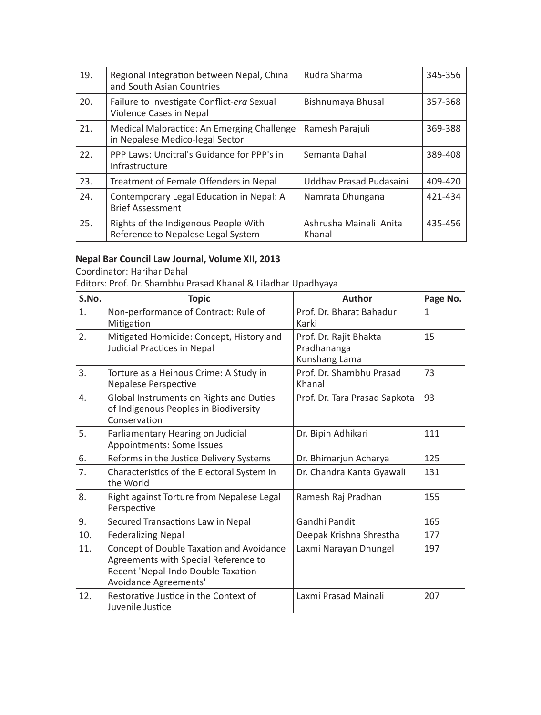| 19. | Regional Integration between Nepal, China<br>and South Asian Countries        | Rudra Sharma                     | 345-356 |
|-----|-------------------------------------------------------------------------------|----------------------------------|---------|
| 20. | Failure to Investigate Conflict-era Sexual<br>Violence Cases in Nepal         | Bishnumaya Bhusal                | 357-368 |
| 21. | Medical Malpractice: An Emerging Challenge<br>in Nepalese Medico-legal Sector | Ramesh Parajuli                  | 369-388 |
| 22. | PPP Laws: Uncitral's Guidance for PPP's in<br>Infrastructure                  | Semanta Dahal                    | 389-408 |
| 23. | Treatment of Female Offenders in Nepal                                        | Uddhay Prasad Pudasaini          | 409-420 |
| 24. | Contemporary Legal Education in Nepal: A<br><b>Brief Assessment</b>           | Namrata Dhungana                 | 421-434 |
| 25. | Rights of the Indigenous People With<br>Reference to Nepalese Legal System    | Ashrusha Mainali Anita<br>Khanal | 435-456 |

### **Nepal Bar Council Law Journal, Volume XII, 2013**

Coordinator: Harihar Dahal

Editors: Prof. Dr. Shambhu Prasad Khanal & Liladhar Upadhyaya

| S.No. | <b>Topic</b>                                                                                                                                    | Author                                                 | Page No.     |
|-------|-------------------------------------------------------------------------------------------------------------------------------------------------|--------------------------------------------------------|--------------|
| 1.    | Non-performance of Contract: Rule of<br>Mitigation                                                                                              | Prof. Dr. Bharat Bahadur<br>Karki                      | $\mathbf{1}$ |
| 2.    | Mitigated Homicide: Concept, History and<br>Judicial Practices in Nepal                                                                         | Prof. Dr. Rajit Bhakta<br>Pradhananga<br>Kunshang Lama | 15           |
| 3.    | Torture as a Heinous Crime: A Study in<br>Nepalese Perspective                                                                                  | Prof. Dr. Shambhu Prasad<br>Khanal                     | 73           |
| 4.    | Global Instruments on Rights and Duties<br>of Indigenous Peoples in Biodiversity<br>Conservation                                                | Prof. Dr. Tara Prasad Sapkota                          | 93           |
| 5.    | Parliamentary Hearing on Judicial<br>Appointments: Some Issues                                                                                  | Dr. Bipin Adhikari                                     | 111          |
| 6.    | Reforms in the Justice Delivery Systems                                                                                                         | Dr. Bhimarjun Acharya                                  | 125          |
| 7.    | Characteristics of the Electoral System in<br>the World                                                                                         | Dr. Chandra Kanta Gyawali                              | 131          |
| 8.    | Right against Torture from Nepalese Legal<br>Perspective                                                                                        | Ramesh Raj Pradhan                                     | 155          |
| 9.    | Secured Transactions Law in Nepal                                                                                                               | Gandhi Pandit                                          | 165          |
| 10.   | <b>Federalizing Nepal</b>                                                                                                                       | Deepak Krishna Shrestha                                | 177          |
| 11.   | Concept of Double Taxation and Avoidance<br>Agreements with Special Reference to<br>Recent 'Nepal-Indo Double Taxation<br>Avoidance Agreements' | Laxmi Narayan Dhungel                                  | 197          |
| 12.   | Restorative Justice in the Context of<br>Juvenile Justice                                                                                       | Laxmi Prasad Mainali                                   | 207          |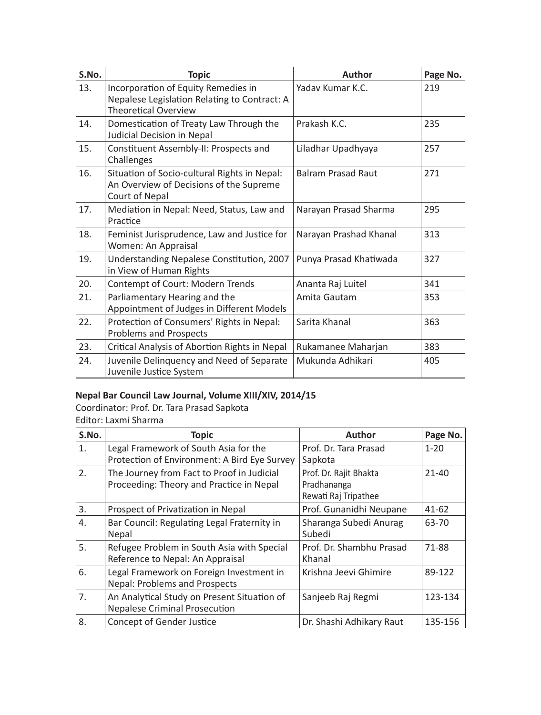| S.No. | <b>Topic</b>                                                                                                       | Author                    | Page No. |
|-------|--------------------------------------------------------------------------------------------------------------------|---------------------------|----------|
| 13.   | Incorporation of Equity Remedies in<br>Nepalese Legislation Relating to Contract: A<br><b>Theoretical Overview</b> | Yaday Kumar K.C.          | 219      |
| 14.   | Domestication of Treaty Law Through the<br>Judicial Decision in Nepal                                              | Prakash K.C.              | 235      |
| 15.   | Constituent Assembly-II: Prospects and<br>Challenges                                                               | Liladhar Upadhyaya        | 257      |
| 16.   | Situation of Socio-cultural Rights in Nepal:<br>An Overview of Decisions of the Supreme<br>Court of Nepal          | <b>Balram Prasad Raut</b> | 271      |
| 17.   | Mediation in Nepal: Need, Status, Law and<br>Practice                                                              | Narayan Prasad Sharma     | 295      |
| 18.   | Feminist Jurisprudence, Law and Justice for<br>Women: An Appraisal                                                 | Narayan Prashad Khanal    | 313      |
| 19.   | Understanding Nepalese Constitution, 2007<br>in View of Human Rights                                               | Punya Prasad Khatiwada    | 327      |
| 20.   | Contempt of Court: Modern Trends                                                                                   | Ananta Raj Luitel         | 341      |
| 21.   | Parliamentary Hearing and the<br>Appointment of Judges in Different Models                                         | Amita Gautam              | 353      |
| 22.   | Protection of Consumers' Rights in Nepal:<br><b>Problems and Prospects</b>                                         | Sarita Khanal             | 363      |
| 23.   | Critical Analysis of Abortion Rights in Nepal                                                                      | Rukamanee Maharjan        | 383      |
| 24.   | Juvenile Delinquency and Need of Separate<br>Juvenile Justice System                                               | Mukunda Adhikari          | 405      |

### **Nepal Bar Council Law Journal, Volume XIII/XIV, 2014/15**

Coordinator: Prof. Dr. Tara Prasad Sapkota Editor: Laxmi Sharma

| S.No. | <b>Topic</b>                                                                           | Author                                                        | Page No.  |
|-------|----------------------------------------------------------------------------------------|---------------------------------------------------------------|-----------|
| 1.    | Legal Framework of South Asia for the<br>Protection of Environment: A Bird Eye Survey  | Prof. Dr. Tara Prasad<br>Sapkota                              | $1 - 20$  |
| 2.    | The Journey from Fact to Proof in Judicial<br>Proceeding: Theory and Practice in Nepal | Prof. Dr. Rajit Bhakta<br>Pradhananga<br>Rewati Raj Tripathee | $21 - 40$ |
| 3.    | Prospect of Privatization in Nepal                                                     | Prof. Gunanidhi Neupane                                       | 41-62     |
| 4.    | Bar Council: Regulating Legal Fraternity in<br>Nepal                                   | Sharanga Subedi Anurag<br>Subedi                              | 63-70     |
| 5.    | Refugee Problem in South Asia with Special<br>Reference to Nepal: An Appraisal         | Prof. Dr. Shambhu Prasad<br>Khanal                            | 71-88     |
| 6.    | Legal Framework on Foreign Investment in<br>Nepal: Problems and Prospects              | Krishna Jeevi Ghimire                                         | 89-122    |
| 7.    | An Analytical Study on Present Situation of<br><b>Nepalese Criminal Prosecution</b>    | Sanjeeb Raj Regmi                                             | 123-134   |
| 8.    | Concept of Gender Justice                                                              | Dr. Shashi Adhikary Raut                                      | 135-156   |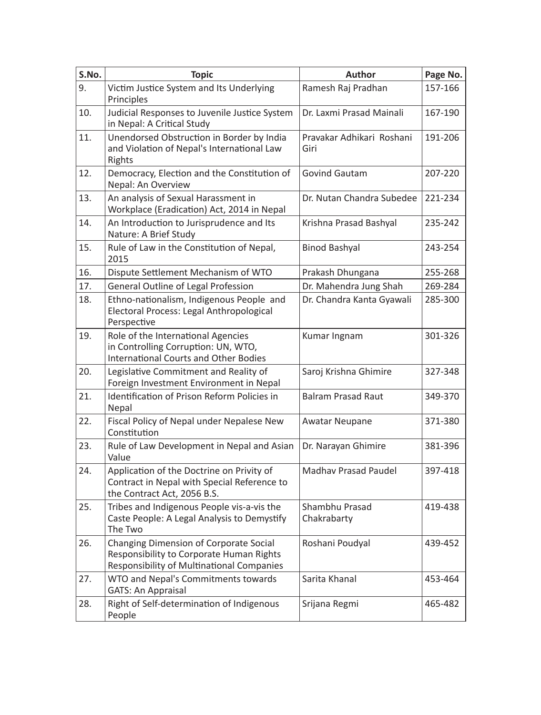| S.No. | <b>Topic</b>                                                                                                                    | Author                            | Page No. |
|-------|---------------------------------------------------------------------------------------------------------------------------------|-----------------------------------|----------|
| 9.    | Victim Justice System and Its Underlying<br>Principles                                                                          | Ramesh Raj Pradhan                | 157-166  |
| 10.   | Judicial Responses to Juvenile Justice System<br>in Nepal: A Critical Study                                                     | Dr. Laxmi Prasad Mainali          | 167-190  |
| 11.   | Unendorsed Obstruction in Border by India<br>and Violation of Nepal's International Law<br>Rights                               | Pravakar Adhikari Roshani<br>Giri | 191-206  |
| 12.   | Democracy, Election and the Constitution of<br>Nepal: An Overview                                                               | Govind Gautam                     | 207-220  |
| 13.   | An analysis of Sexual Harassment in<br>Workplace (Eradication) Act, 2014 in Nepal                                               | Dr. Nutan Chandra Subedee         | 221-234  |
| 14.   | An Introduction to Jurisprudence and Its<br>Nature: A Brief Study                                                               | Krishna Prasad Bashyal            | 235-242  |
| 15.   | Rule of Law in the Constitution of Nepal,<br>2015                                                                               | <b>Binod Bashyal</b>              | 243-254  |
| 16.   | Dispute Settlement Mechanism of WTO                                                                                             | Prakash Dhungana                  | 255-268  |
| 17.   | General Outline of Legal Profession                                                                                             | Dr. Mahendra Jung Shah            | 269-284  |
| 18.   | Ethno-nationalism, Indigenous People and<br>Electoral Process: Legal Anthropological<br>Perspective                             | Dr. Chandra Kanta Gyawali         | 285-300  |
| 19.   | Role of the International Agencies<br>in Controlling Corruption: UN, WTO,<br><b>International Courts and Other Bodies</b>       | Kumar Ingnam                      | 301-326  |
| 20.   | Legislative Commitment and Reality of<br>Foreign Investment Environment in Nepal                                                | Saroj Krishna Ghimire             | 327-348  |
| 21.   | Identification of Prison Reform Policies in<br>Nepal                                                                            | <b>Balram Prasad Raut</b>         | 349-370  |
| 22.   | Fiscal Policy of Nepal under Nepalese New<br>Constitution                                                                       | Awatar Neupane                    | 371-380  |
| 23.   | Rule of Law Development in Nepal and Asian<br>Value                                                                             | Dr. Narayan Ghimire               | 381-396  |
| 24.   | Application of the Doctrine on Privity of<br>Contract in Nepal with Special Reference to<br>the Contract Act, 2056 B.S.         | <b>Madhav Prasad Paudel</b>       | 397-418  |
| 25.   | Tribes and Indigenous People vis-a-vis the<br>Caste People: A Legal Analysis to Demystify<br>The Two                            | Shambhu Prasad<br>Chakrabarty     | 419-438  |
| 26.   | Changing Dimension of Corporate Social<br>Responsibility to Corporate Human Rights<br>Responsibility of Multinational Companies | Roshani Poudyal                   | 439-452  |
| 27.   | WTO and Nepal's Commitments towards<br><b>GATS: An Appraisal</b>                                                                | Sarita Khanal                     | 453-464  |
| 28.   | Right of Self-determination of Indigenous<br>People                                                                             | Srijana Regmi                     | 465-482  |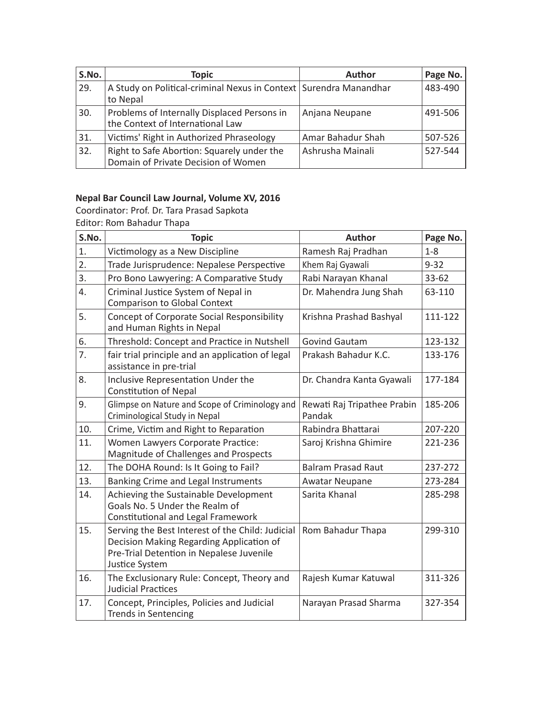| S.No. | <b>Topic</b>                                                                      | Author            | Page No. |
|-------|-----------------------------------------------------------------------------------|-------------------|----------|
| 29.   | A Study on Political-criminal Nexus in Context   Surendra Manandhar<br>to Nepal   |                   | 483-490  |
| 30.   | Problems of Internally Displaced Persons in<br>the Context of International Law   | Anjana Neupane    | 491-506  |
| 31.   | Victims' Right in Authorized Phraseology                                          | Amar Bahadur Shah | 507-526  |
| 32.   | Right to Safe Abortion: Squarely under the<br>Domain of Private Decision of Women | Ashrusha Mainali  | 527-544  |

### **Nepal Bar Council Law Journal, Volume XV, 2016**

Coordinator: Prof. Dr. Tara Prasad Sapkota Editor: Rom Bahadur Thapa

| S.No.            | <b>Topic</b>                                                                                                                                               | Author                                | Page No.  |
|------------------|------------------------------------------------------------------------------------------------------------------------------------------------------------|---------------------------------------|-----------|
| 1.               | Victimology as a New Discipline                                                                                                                            | Ramesh Raj Pradhan                    | $1 - 8$   |
| $\overline{2}$ . | Trade Jurisprudence: Nepalese Perspective                                                                                                                  | Khem Raj Gyawali                      | $9 - 32$  |
| 3.               | Pro Bono Lawyering: A Comparative Study                                                                                                                    | Rabi Narayan Khanal                   | $33 - 62$ |
| 4.               | Criminal Justice System of Nepal in<br><b>Comparison to Global Context</b>                                                                                 | Dr. Mahendra Jung Shah                | 63-110    |
| 5.               | Concept of Corporate Social Responsibility<br>and Human Rights in Nepal                                                                                    | Krishna Prashad Bashyal               | 111-122   |
| 6.               | Threshold: Concept and Practice in Nutshell                                                                                                                | <b>Govind Gautam</b>                  | 123-132   |
| 7.               | fair trial principle and an application of legal<br>assistance in pre-trial                                                                                | Prakash Bahadur K.C.                  | 133-176   |
| 8.               | Inclusive Representation Under the<br><b>Constitution of Nepal</b>                                                                                         | Dr. Chandra Kanta Gyawali             | 177-184   |
| 9.               | Glimpse on Nature and Scope of Criminology and<br>Criminological Study in Nepal                                                                            | Rewati Raj Tripathee Prabin<br>Pandak | 185-206   |
| 10.              | Crime, Victim and Right to Reparation                                                                                                                      | Rabindra Bhattarai                    | 207-220   |
| 11.              | Women Lawyers Corporate Practice:<br>Magnitude of Challenges and Prospects                                                                                 | Saroj Krishna Ghimire                 | 221-236   |
| 12.              | The DOHA Round: Is It Going to Fail?                                                                                                                       | <b>Balram Prasad Raut</b>             | 237-272   |
| 13.              | Banking Crime and Legal Instruments                                                                                                                        | <b>Awatar Neupane</b>                 | 273-284   |
| 14.              | Achieving the Sustainable Development<br>Goals No. 5 Under the Realm of<br>Constitutional and Legal Framework                                              | Sarita Khanal                         | 285-298   |
| 15.              | Serving the Best Interest of the Child: Judicial<br>Decision Making Regarding Application of<br>Pre-Trial Detention in Nepalese Juvenile<br>Justice System | Rom Bahadur Thapa                     | 299-310   |
| 16.              | The Exclusionary Rule: Concept, Theory and<br><b>Judicial Practices</b>                                                                                    | Rajesh Kumar Katuwal                  | 311-326   |
| 17.              | Concept, Principles, Policies and Judicial<br><b>Trends in Sentencing</b>                                                                                  | Narayan Prasad Sharma                 | 327-354   |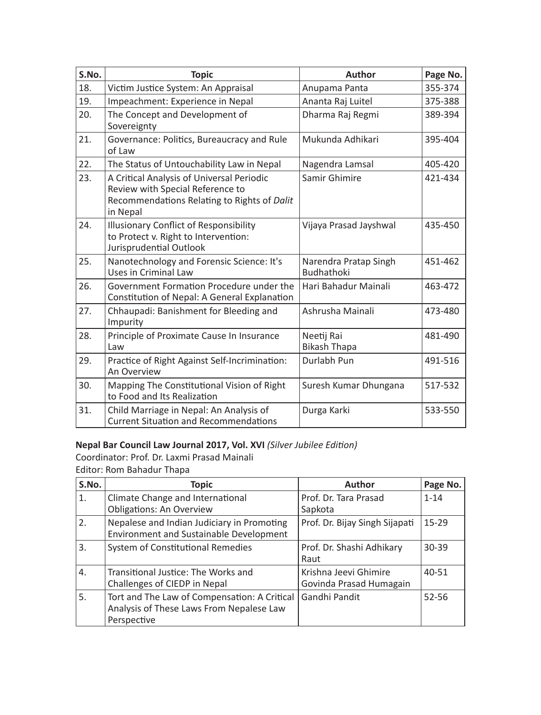| S.No. | <b>Topic</b>                                                                                                                             | Author                                     | Page No. |
|-------|------------------------------------------------------------------------------------------------------------------------------------------|--------------------------------------------|----------|
| 18.   | Victim Justice System: An Appraisal                                                                                                      | Anupama Panta                              | 355-374  |
| 19.   | Impeachment: Experience in Nepal                                                                                                         | Ananta Raj Luitel                          | 375-388  |
| 20.   | The Concept and Development of<br>Sovereignty                                                                                            | Dharma Raj Regmi                           | 389-394  |
| 21.   | Governance: Politics, Bureaucracy and Rule<br>of Law                                                                                     | Mukunda Adhikari                           | 395-404  |
| 22.   | The Status of Untouchability Law in Nepal                                                                                                | Nagendra Lamsal                            | 405-420  |
| 23.   | A Critical Analysis of Universal Periodic<br>Review with Special Reference to<br>Recommendations Relating to Rights of Dalit<br>in Nepal | Samir Ghimire                              | 421-434  |
| 24.   | Illusionary Conflict of Responsibility<br>to Protect v. Right to Intervention:<br>Jurisprudential Outlook                                | Vijaya Prasad Jayshwal                     | 435-450  |
| 25.   | Nanotechnology and Forensic Science: It's<br>Uses in Criminal Law                                                                        | Narendra Pratap Singh<br><b>Budhathoki</b> | 451-462  |
| 26.   | Government Formation Procedure under the<br>Constitution of Nepal: A General Explanation                                                 | Hari Bahadur Mainali                       | 463-472  |
| 27.   | Chhaupadi: Banishment for Bleeding and<br>Impurity                                                                                       | Ashrusha Mainali                           | 473-480  |
| 28.   | Principle of Proximate Cause In Insurance<br>Law                                                                                         | Neetij Rai<br><b>Bikash Thapa</b>          | 481-490  |
| 29.   | Practice of Right Against Self-Incrimination:<br>An Overview                                                                             | Durlabh Pun                                | 491-516  |
| 30.   | Mapping The Constitutional Vision of Right<br>to Food and Its Realization                                                                | Suresh Kumar Dhungana                      | 517-532  |
| 31.   | Child Marriage in Nepal: An Analysis of<br><b>Current Situation and Recommendations</b>                                                  | Durga Karki                                | 533-550  |

### **Nepal Bar Council Law Journal 2017, Vol. XVI** *(Silver Jubilee Edition)*

Coordinator: Prof. Dr. Laxmi Prasad Mainali Editor: Rom Bahadur Thapa

| S.No. | <b>Topic</b>                                                                                            | <b>Author</b>                                    | Page No.  |
|-------|---------------------------------------------------------------------------------------------------------|--------------------------------------------------|-----------|
| 1.    | Climate Change and International<br><b>Obligations: An Overview</b>                                     | Prof. Dr. Tara Prasad<br>Sapkota                 | $1 - 14$  |
| 2.    | Nepalese and Indian Judiciary in Promoting<br>Environment and Sustainable Development                   | Prof. Dr. Bijay Singh Sijapati                   | $15 - 29$ |
| 3.    | System of Constitutional Remedies                                                                       | Prof. Dr. Shashi Adhikary<br>Raut                | $30 - 39$ |
| 4.    | Transitional Justice: The Works and<br>Challenges of CIEDP in Nepal                                     | Krishna Jeevi Ghimire<br>Govinda Prasad Humagain | $40 - 51$ |
| 5.    | Tort and The Law of Compensation: A Critical<br>Analysis of These Laws From Nepalese Law<br>Perspective | Gandhi Pandit                                    | $52 - 56$ |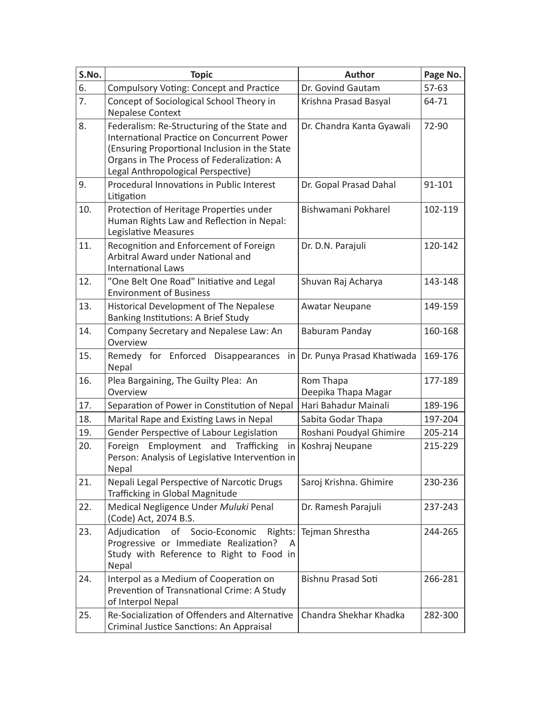| S.No. | <b>Topic</b>                                                                                                                                                                                                                   | Author                           | Page No. |
|-------|--------------------------------------------------------------------------------------------------------------------------------------------------------------------------------------------------------------------------------|----------------------------------|----------|
| 6.    | Compulsory Voting: Concept and Practice                                                                                                                                                                                        | Dr. Govind Gautam                | 57-63    |
| 7.    | Concept of Sociological School Theory in<br><b>Nepalese Context</b>                                                                                                                                                            | Krishna Prasad Basyal            | 64-71    |
| 8.    | Federalism: Re-Structuring of the State and<br>International Practice on Concurrent Power<br>(Ensuring Proportional Inclusion in the State<br>Organs in The Process of Federalization: A<br>Legal Anthropological Perspective) | Dr. Chandra Kanta Gyawali        | 72-90    |
| 9.    | Procedural Innovations in Public Interest<br>Litigation                                                                                                                                                                        | Dr. Gopal Prasad Dahal           | 91-101   |
| 10.   | Protection of Heritage Properties under<br>Human Rights Law and Reflection in Nepal:<br>Legislative Measures                                                                                                                   | Bishwamani Pokharel              | 102-119  |
| 11.   | Recognition and Enforcement of Foreign<br>Arbitral Award under National and<br><b>International Laws</b>                                                                                                                       | Dr. D.N. Parajuli                | 120-142  |
| 12.   | "One Belt One Road" Initiative and Legal<br><b>Environment of Business</b>                                                                                                                                                     | Shuvan Raj Acharya               | 143-148  |
| 13.   | Historical Development of The Nepalese<br>Banking Institutions: A Brief Study                                                                                                                                                  | <b>Awatar Neupane</b>            | 149-159  |
| 14.   | Company Secretary and Nepalese Law: An<br>Overview                                                                                                                                                                             | Baburam Panday                   | 160-168  |
| 15.   | Remedy for Enforced Disappearances<br>in<br>Nepal                                                                                                                                                                              | Dr. Punya Prasad Khatiwada       | 169-176  |
| 16.   | Plea Bargaining, The Guilty Plea: An<br>Overview                                                                                                                                                                               | Rom Thapa<br>Deepika Thapa Magar | 177-189  |
| 17.   | Separation of Power in Constitution of Nepal                                                                                                                                                                                   | Hari Bahadur Mainali             | 189-196  |
| 18.   | Marital Rape and Existing Laws in Nepal                                                                                                                                                                                        | Sabita Godar Thapa               | 197-204  |
| 19.   | Gender Perspective of Labour Legislation                                                                                                                                                                                       | Roshani Poudyal Ghimire          | 205-214  |
| 20.   | Employment and Trafficking<br>Foreign<br>in  <br>Person: Analysis of Legislative Intervention in<br>Nepal                                                                                                                      | Koshraj Neupane                  | 215-229  |
| 21.   | Nepali Legal Perspective of Narcotic Drugs<br>Trafficking in Global Magnitude                                                                                                                                                  | Saroj Krishna. Ghimire           | 230-236  |
| 22.   | Medical Negligence Under Muluki Penal<br>(Code) Act, 2074 B.S.                                                                                                                                                                 | Dr. Ramesh Parajuli              | 237-243  |
| 23.   | Adjudication of Socio-Economic Rights: Tejman Shrestha<br>Progressive or Immediate Realization?<br>A<br>Study with Reference to Right to Food in<br>Nepal                                                                      |                                  | 244-265  |
| 24.   | Interpol as a Medium of Cooperation on<br>Prevention of Transnational Crime: A Study<br>of Interpol Nepal                                                                                                                      | <b>Bishnu Prasad Soti</b>        | 266-281  |
| 25.   | Re-Socialization of Offenders and Alternative<br>Criminal Justice Sanctions: An Appraisal                                                                                                                                      | Chandra Shekhar Khadka           | 282-300  |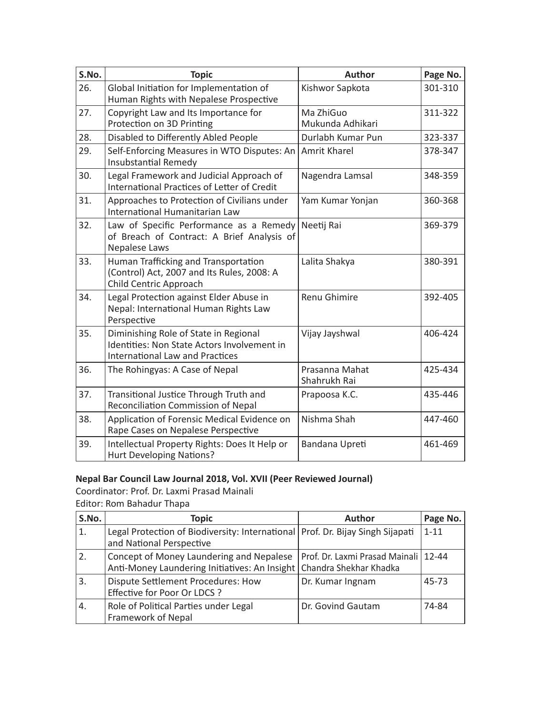| S.No. | <b>Topic</b>                                                                                                                   | Author                         | Page No. |
|-------|--------------------------------------------------------------------------------------------------------------------------------|--------------------------------|----------|
| 26.   | Global Initiation for Implementation of<br>Human Rights with Nepalese Prospective                                              | Kishwor Sapkota                | 301-310  |
| 27.   | Copyright Law and Its Importance for<br>Protection on 3D Printing                                                              | Ma ZhiGuo<br>Mukunda Adhikari  | 311-322  |
| 28.   | Disabled to Differently Abled People                                                                                           | Durlabh Kumar Pun              | 323-337  |
| 29.   | Self-Enforcing Measures in WTO Disputes: An<br><b>Insubstantial Remedy</b>                                                     | Amrit Kharel                   | 378-347  |
| 30.   | Legal Framework and Judicial Approach of<br>International Practices of Letter of Credit                                        | Nagendra Lamsal                | 348-359  |
| 31.   | Approaches to Protection of Civilians under<br>International Humanitarian Law                                                  | Yam Kumar Yonjan               | 360-368  |
| 32.   | Law of Specific Performance as a Remedy<br>of Breach of Contract: A Brief Analysis of<br>Nepalese Laws                         | Neetij Rai                     | 369-379  |
| 33.   | Human Trafficking and Transportation<br>(Control) Act, 2007 and Its Rules, 2008: A<br>Child Centric Approach                   | Lalita Shakya                  | 380-391  |
| 34.   | Legal Protection against Elder Abuse in<br>Nepal: International Human Rights Law<br>Perspective                                | Renu Ghimire                   | 392-405  |
| 35.   | Diminishing Role of State in Regional<br>Identities: Non State Actors Involvement in<br><b>International Law and Practices</b> | Vijay Jayshwal                 | 406-424  |
| 36.   | The Rohingyas: A Case of Nepal                                                                                                 | Prasanna Mahat<br>Shahrukh Rai | 425-434  |
| 37.   | Transitional Justice Through Truth and<br>Reconciliation Commission of Nepal                                                   | Prapoosa K.C.                  | 435-446  |
| 38.   | Application of Forensic Medical Evidence on<br>Rape Cases on Nepalese Perspective                                              | Nishma Shah                    | 447-460  |
| 39.   | Intellectual Property Rights: Does It Help or<br>Hurt Developing Nations?                                                      | Bandana Upreti                 | 461-469  |

### **Nepal Bar Council Law Journal 2018, Vol. XVII (Peer Reviewed Journal)**

Coordinator: Prof. Dr. Laxmi Prasad Mainali Editor: Rom Bahadur Thapa

| S.No. | Topic                                                                                                              | Author                                 | Page No. |
|-------|--------------------------------------------------------------------------------------------------------------------|----------------------------------------|----------|
| 1.    | Legal Protection of Biodiversity: International   Prof. Dr. Bijay Singh Sijapati<br>and National Perspective       |                                        | $1 - 11$ |
| 2.    | Concept of Money Laundering and Nepalese<br>Anti-Money Laundering Initiatives: An Insight   Chandra Shekhar Khadka | Prof. Dr. Laxmi Prasad Mainali   12-44 |          |
| 3.    | Dispute Settlement Procedures: How<br>Effective for Poor Or LDCS ?                                                 | Dr. Kumar Ingnam                       | 45-73    |
| 4.    | Role of Political Parties under Legal<br>Framework of Nepal                                                        | Dr. Govind Gautam                      | 74-84    |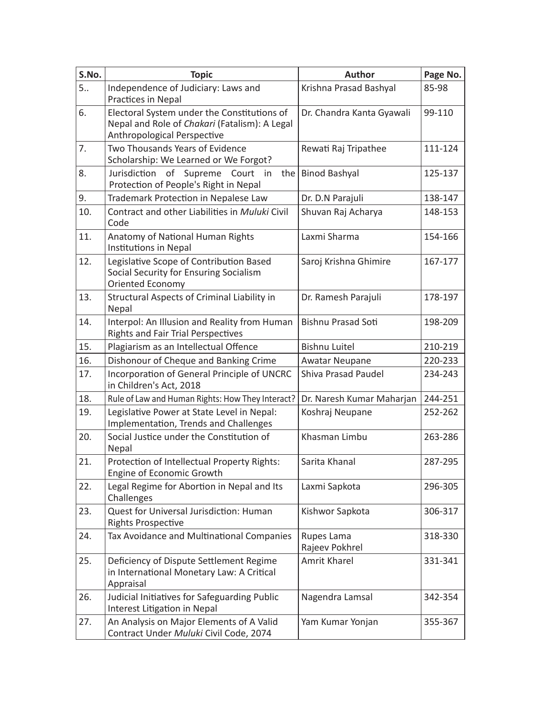| S.No. | <b>Topic</b>                                                                                                                | Author                       | Page No. |
|-------|-----------------------------------------------------------------------------------------------------------------------------|------------------------------|----------|
| 5     | Independence of Judiciary: Laws and<br>Practices in Nepal                                                                   | Krishna Prasad Bashyal       | 85-98    |
| 6.    | Electoral System under the Constitutions of<br>Nepal and Role of Chakari (Fatalism): A Legal<br>Anthropological Perspective | Dr. Chandra Kanta Gyawali    | 99-110   |
| 7.    | Two Thousands Years of Evidence<br>Scholarship: We Learned or We Forgot?                                                    | Rewati Raj Tripathee         | 111-124  |
| 8.    | Jurisdiction of Supreme<br>Court in<br>the I<br>Protection of People's Right in Nepal                                       | <b>Binod Bashyal</b>         | 125-137  |
| 9.    | Trademark Protection in Nepalese Law                                                                                        | Dr. D.N Parajuli             | 138-147  |
| 10.   | Contract and other Liabilities in Muluki Civil<br>Code                                                                      | Shuvan Raj Acharya           | 148-153  |
| 11.   | Anatomy of National Human Rights<br>Institutions in Nepal                                                                   | Laxmi Sharma                 | 154-166  |
| 12.   | Legislative Scope of Contribution Based<br>Social Security for Ensuring Socialism<br>Oriented Economy                       | Saroj Krishna Ghimire        | 167-177  |
| 13.   | Structural Aspects of Criminal Liability in<br>Nepal                                                                        | Dr. Ramesh Parajuli          | 178-197  |
| 14.   | Interpol: An Illusion and Reality from Human<br><b>Rights and Fair Trial Perspectives</b>                                   | Bishnu Prasad Soti           | 198-209  |
| 15.   | Plagiarism as an Intellectual Offence                                                                                       | <b>Bishnu Luitel</b>         | 210-219  |
| 16.   | Dishonour of Cheque and Banking Crime                                                                                       | <b>Awatar Neupane</b>        | 220-233  |
| 17.   | Incorporation of General Principle of UNCRC<br>in Children's Act, 2018                                                      | Shiva Prasad Paudel          | 234-243  |
| 18.   | Rule of Law and Human Rights: How They Interact?                                                                            | Dr. Naresh Kumar Maharjan    | 244-251  |
| 19.   | Legislative Power at State Level in Nepal:<br>Implementation, Trends and Challenges                                         | Koshraj Neupane              | 252-262  |
| 20.   | Social Justice under the Constitution of<br>Nepal                                                                           | Khasman Limbu                | 263-286  |
| 21.   | Protection of Intellectual Property Rights:<br>Engine of Economic Growth                                                    | Sarita Khanal                | 287-295  |
| 22.   | Legal Regime for Abortion in Nepal and Its<br>Challenges                                                                    | Laxmi Sapkota                | 296-305  |
| 23.   | Quest for Universal Jurisdiction: Human<br><b>Rights Prospective</b>                                                        | Kishwor Sapkota              | 306-317  |
| 24.   | Tax Avoidance and Multinational Companies                                                                                   | Rupes Lama<br>Rajeev Pokhrel | 318-330  |
| 25.   | Deficiency of Dispute Settlement Regime<br>in International Monetary Law: A Critical<br>Appraisal                           | Amrit Kharel                 | 331-341  |
| 26.   | Judicial Initiatives for Safeguarding Public<br>Interest Litigation in Nepal                                                | Nagendra Lamsal              | 342-354  |
| 27.   | An Analysis on Major Elements of A Valid<br>Contract Under Muluki Civil Code, 2074                                          | Yam Kumar Yonjan             | 355-367  |